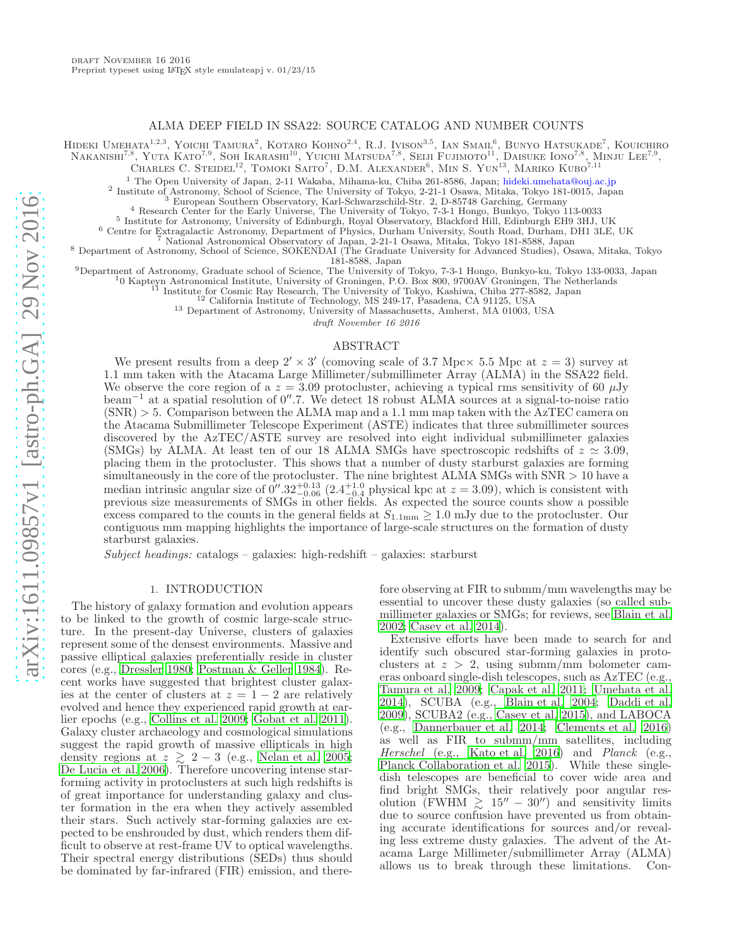## ALMA DEEP FIELD IN SSA22: SOURCE CATALOG AND NUMBER COUNTS

Hideki Umehata<sup>1,2,3</sup>, Yoichi Tamura<sup>2</sup>, Kotaro Kohno<sup>2,4</sup>, R.J. Ivison<sup>3,5</sup>, Ian Smail<sup>6</sup>, Bunyo Hatsukade<sup>7</sup>, Kouichiro

NAKANISHI<sup>7,8</sup>, YUTA KATO<sup>7,9</sup>, SOH IKARASHI<sup>10</sup>, YUICHI MATSUDA<sup>7,8</sup>, SEIJI FUJIMOTO<sup>11</sup>, DAISUKE IONO<sup>7,8</sup>, MINJU LEE<sup>7,9</sup>,

CHARLES C. STEIDEL<sup>12</sup>, TOMOKI SAITO<sup>7</sup>, D.M. ALEXANDER<sup>6</sup>, MIN S. YUN<sup>13</sup>, MARIKO KUBO<sup>7,11</sup>

<sup>1</sup> The Open University of Japan, 2-11 Wakaba, Mihama-ku, Chiba 261-8586, Japan; hideki.umehata@ouj.ac.jp

2 Institute of Astronomy, School of Science, The University of Tokyo, 2-21-1 Osawa, Mitaka, Tokyo 181-0015, Japan <sup>3</sup> European Southern Observatory, Karl-Schwarzschild-Str. 2, D-85748 Garching, Germany

<sup>4</sup> Research Center for the Early Universe, The University of Tokyo, 7-3-1 Hongo, Bunkyo, Tokyo 113-0033

5 Institute for Astronomy, University of Edinburgh, Royal Observatory, Blackford Hill, Edinburgh EH9 3HJ, UK

<sup>6</sup> Centre for Extragalactic Astronomy, Department of Physics, Durham University, South Road, Durham, DH1 3LE, UK

<sup>7</sup> National Astronomical Observatory of Japan, 2-21-1 Osawa, Mitaka, Tokyo 181-8588, Japan

<sup>8</sup> Department of Astronomy, School of Science, SOKENDAI (The Graduate University for Advanced Studies), Osawa, Mitaka, Tokyo 181-8588, Japan

<sup>9</sup>Department of Astronomy, Graduate school of Science, The University of Tokyo, 7-3-1 Hongo, Bunkyo-ku, Tokyo 133-0033, Japan

<sup>1</sup>0 Kapteyn Astronomical Institute, University of Groningen, P.O. Box 800, 9700AV Groningen, The Netherlands

<sup>11</sup> Institute for Cosmic Ray Research, The University of Tokyo, Kashiwa, Chiba 277-8582, Japan

<sup>12</sup> California Institute of Technology, MS 249-17, Pasadena, CA 91125, USA

<sup>13</sup> Department of Astronomy, University of Massachusetts, Amherst, MA 01003, USA

draft November 16 2016

#### ABSTRACT

We present results from a deep  $2' \times 3'$  (comoving scale of 3.7 Mpc  $\times$  5.5 Mpc at  $z = 3$ ) survey at 1.1 mm taken with the Atacama Large Millimeter/submillimeter Array (ALMA) in the SSA22 field. We observe the core region of a  $z = 3.09$  protocluster, achieving a typical rms sensitivity of 60  $\mu$ Jy beam<sup>−</sup><sup>1</sup> at a spatial resolution of 0′′ .7. We detect 18 robust ALMA sources at a signal-to-noise ratio  $(SNR) > 5$ . Comparison between the ALMA map and a 1.1 mm map taken with the AzTEC camera on the Atacama Submillimeter Telescope Experiment (ASTE) indicates that three submillimeter sources discovered by the AzTEC/ASTE survey are resolved into eight individual submillimeter galaxies (SMGs) by ALMA. At least ten of our 18 ALMA SMGs have spectroscopic redshifts of  $z \approx 3.09$ , placing them in the protocluster. This shows that a number of dusty starburst galaxies are forming simultaneously in the core of the protocluster. The nine brightest ALMA SMGs with SNR  $> 10$  have a median intrinsic angular size of  $0''.32_{-0.06}^{+0.13}$  (2.4<sup>+1.0</sup> physical kpc at  $z = 3.09$ ), which is consistent with previous size measurements of SMGs in other fields. As expected the source counts show a possible excess compared to the counts in the general fields at  $S_{1.1\text{mm}} \geq 1.0 \text{ mJy}$  due to the protocluster. Our contiguous mm mapping highlights the importance of large-scale structures on the formation of dusty starburst galaxies.

 $Subject$  headings: catalogs – galaxies: high-redshift – galaxies: starburst

#### 1. INTRODUCTION

The history of galaxy formation and evolution appears to be linked to the growth of cosmic large-scale structure. In the present-day Universe, clusters of galaxies represent some of the densest environments. Massive and passive elliptical galaxies preferentially reside in cluster cores (e.g., [Dressler 1980;](#page-13-0) [Postman & Geller 1984](#page-13-1)). Recent works have suggested that brightest cluster galaxies at the center of clusters at  $z = 1 - 2$  are relatively evolved and hence they experienced rapid growth at earlier epochs (e.g., [Collins et al. 2009;](#page-13-2) [Gobat et al. 2011\)](#page-13-3). Galaxy cluster archaeology and cosmological simulations suggest the rapid growth of massive ellipticals in high density regions at  $z \geq 2-3$  (e.g., [Nelan et al. 2005;](#page-13-4) [De Lucia et al. 2006\)](#page-13-5). Therefore uncovering intense starforming activity in protoclusters at such high redshifts is of great importance for understanding galaxy and cluster formation in the era when they actively assembled their stars. Such actively star-forming galaxies are expected to be enshrouded by dust, which renders them difficult to observe at rest-frame UV to optical wavelengths. Their spectral energy distributions (SEDs) thus should be dominated by far-infrared (FIR) emission, and therefore observing at FIR to submm/mm wavelengths may be essential to uncover these dusty galaxies (so called submillimeter galaxies or SMGs; for reviews, see [Blain et al.](#page-12-0) [2002;](#page-12-0) [Casey et al. 2014](#page-13-6)).

Extensive efforts have been made to search for and identify such obscured star-forming galaxies in protoclusters at  $z > 2$ , using submm/mm bolometer cameras onboard single-dish telescopes, such as AzTEC (e.g., [Tamura et al. 2009;](#page-14-0) [Capak et al. 2011;](#page-13-7) [Umehata et al.](#page-15-0) [2014\)](#page-15-0), SCUBA (e.g., [Blain et al. 2004;](#page-12-1) [Daddi et al.](#page-13-8) [2009\)](#page-13-8), SCUBA2 (e.g., [Casey et al. 2015\)](#page-13-9), and LABOCA (e.g., [Dannerbauer et al. 2014;](#page-13-10) [Clements et al. 2016](#page-13-11)) as well as FIR to submm/mm satellites, including Herschel (e.g., [Kato et al. 2016\)](#page-13-12) and Planck (e.g., [Planck Collaboration et al. 2015\)](#page-13-13). While these singledish telescopes are beneficial to cover wide area and find bright SMGs, their relatively poor angular resolution (FWHM  $\geq 15'' - 30''$ ) and sensitivity limits due to source confusion have prevented us from obtaining accurate identifications for sources and/or revealing less extreme dusty galaxies. The advent of the Atacama Large Millimeter/submillimeter Array (ALMA) allows us to break through these limitations. Con-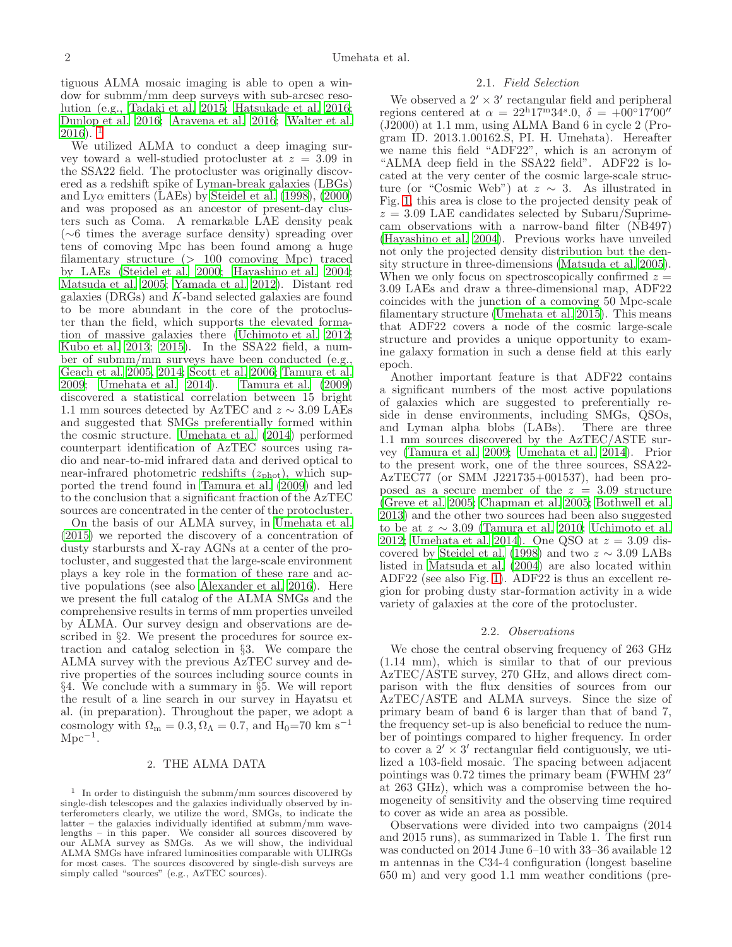tiguous ALMA mosaic imaging is able to open a window for submm/mm deep surveys with sub-arcsec resolution (e.g., [Tadaki et al. 2015](#page-14-1); [Hatsukade et al. 2016;](#page-13-14) [Dunlop et al. 2016;](#page-13-15) [Aravena et al. 2016;](#page-12-2) [Walter et al.](#page-15-1)  $2016$  $2016$  $2016$ ).

We utilized ALMA to conduct a deep imaging survey toward a well-studied protocluster at  $z = 3.09$  in the SSA22 field. The protocluster was originally discovered as a redshift spike of Lyman-break galaxies (LBGs) and Ly $\alpha$  emitters (LAEs) by [Steidel et al. \(1998\)](#page-14-2), [\(2000](#page-14-3)) and was proposed as an ancestor of present-day clusters such as Coma. A remarkable LAE density peak (∼6 times the average surface density) spreading over tens of comoving Mpc has been found among a huge filamentary structure (> 100 comoving Mpc) traced by LAEs [\(Steidel et al. 2000;](#page-14-3) [Hayashino et al. 2004;](#page-13-16) [Matsuda et al. 2005;](#page-13-17) [Yamada et al. 2012\)](#page-15-2). Distant red galaxies (DRGs) and K-band selected galaxies are found to be more abundant in the core of the protocluster than the field, which supports the elevated formation of massive galaxies there [\(Uchimoto et al. 2012;](#page-15-3) [Kubo et al. 2013](#page-13-18); [2015\)](#page-13-19). In the SSA22 field, a number of submm/mm surveys have been conducted (e.g., [Geach et al. 2005,](#page-13-20) [2014;](#page-13-21) [Scott et al. 2006;](#page-13-22) [Tamura et al.](#page-14-0) [2009;](#page-14-0) [Umehata et al. 2014](#page-15-0)). [Tamura et al. \(2009](#page-14-0)) discovered a statistical correlation between 15 bright 1.1 mm sources detected by AzTEC and  $z \sim 3.09$  LAEs and suggested that SMGs preferentially formed within the cosmic structure. [Umehata et al. \(2014\)](#page-15-0) performed counterpart identification of AzTEC sources using radio and near-to-mid infrared data and derived optical to near-infrared photometric redshifts  $(z_{phot})$ , which supported the trend found in [Tamura et al. \(2009\)](#page-14-0) and led to the conclusion that a significant fraction of the AzTEC sources are concentrated in the center of the protocluster.

On the basis of our ALMA survey, in [Umehata et al.](#page-15-4) [\(2015\)](#page-15-4) we reported the discovery of a concentration of dusty starbursts and X-ray AGNs at a center of the protocluster, and suggested that the large-scale environment plays a key role in the formation of these rare and active populations (see also [Alexander et al. 2016](#page-12-3)). Here we present the full catalog of the ALMA SMGs and the comprehensive results in terms of mm properties unveiled by ALMA. Our survey design and observations are described in §2. We present the procedures for source extraction and catalog selection in §3. We compare the ALMA survey with the previous AzTEC survey and derive properties of the sources including source counts in §4. We conclude with a summary in §5. We will report the result of a line search in our survey in Hayatsu et al. (in preparation). Throughout the paper, we adopt a cosmology with  $\Omega_{\rm m} = 0.3, \Omega_{\Lambda} = 0.7$ , and  $H_0 = 70$  km s<sup>-1</sup>  $\rm Mpc^{-1}.$ 

# 2. THE ALMA DATA

<span id="page-1-0"></span><sup>1</sup> In order to distinguish the submm/mm sources discovered by single-dish telescopes and the galaxies individually observed by interferometers clearly, we utilize the word, SMGs, to indicate the latter – the galaxies individually identified at submm/mm wavelengths – in this paper. We consider all sources discovered by our ALMA survey as SMGs. As we will show, the individual ALMA SMGs have infrared luminosities comparable with ULIRGs for most cases. The sources discovered by single-dish surveys are simply called "sources" (e.g., AzTEC sources).

# 2.1. Field Selection

We observed a  $2' \times 3'$  rectangular field and peripheral regions centered at  $\alpha = 22^{\mathrm{h}}17^{\mathrm{m}}34^{\mathrm{s}}.0, \ \delta = +00^{\circ}17'00''$ (J2000) at 1.1 mm, using ALMA Band 6 in cycle 2 (Program ID. 2013.1.00162.S, PI. H. Umehata). Hereafter we name this field "ADF22", which is an acronym of "ALMA deep field in the SSA22 field". ADF22 is located at the very center of the cosmic large-scale structure (or "Cosmic Web") at  $z \sim 3$ . As illustrated in Fig. [1,](#page-2-0) this area is close to the projected density peak of  $z = 3.09$  LAE candidates selected by Subaru/Suprimecam observations with a narrow-band filter (NB497) [\(Hayashino et al. 2004](#page-13-16)). Previous works have unveiled not only the projected density distribution but the density structure in three-dimensions [\(Matsuda et al. 2005](#page-13-17)). When we only focus on spectroscopically confirmed  $z =$ 3.09 LAEs and draw a three-dimensional map, ADF22 coincides with the junction of a comoving 50 Mpc-scale filamentary structure [\(Umehata et al. 2015](#page-15-4)). This means that ADF22 covers a node of the cosmic large-scale structure and provides a unique opportunity to examine galaxy formation in such a dense field at this early epoch.

Another important feature is that ADF22 contains a significant numbers of the most active populations of galaxies which are suggested to preferentially reside in dense environments, including SMGs, QSOs, and Lyman alpha blobs (LABs). There are three 1.1 mm sources discovered by the AzTEC/ASTE survey [\(Tamura et al. 2009](#page-14-0); [Umehata et al. 2014\)](#page-15-0). Prior to the present work, one of the three sources, SSA22- AzTEC77 (or SMM J221735+001537), had been proposed as a secure member of the  $z = 3.09$  structure [\(Greve et al. 2005;](#page-13-23) [Chapman et al. 2005;](#page-13-24) [Bothwell et al.](#page-12-4) [2013\)](#page-12-4) and the other two sources had been also suggested to be at  $z \sim 3.09$  [\(Tamura et al. 2010](#page-14-4); [Uchimoto et al.](#page-15-3) [2012;](#page-15-3) [Umehata et al. 2014](#page-15-0)). One QSO at  $z = 3.09$  dis-covered by [Steidel et al. \(1998](#page-14-2)) and two  $z \sim 3.09$  LABs listed in [Matsuda et al. \(2004\)](#page-13-25) are also located within ADF22 (see also Fig. [1\)](#page-2-0). ADF22 is thus an excellent region for probing dusty star-formation activity in a wide variety of galaxies at the core of the protocluster.

## 2.2. Observations

We chose the central observing frequency of 263 GHz (1.14 mm), which is similar to that of our previous AzTEC/ASTE survey, 270 GHz, and allows direct comparison with the flux densities of sources from our AzTEC/ASTE and ALMA surveys. Since the size of primary beam of band 6 is larger than that of band 7, the frequency set-up is also beneficial to reduce the number of pointings compared to higher frequency. In order to cover a  $2' \times 3'$  rectangular field contiguously, we utilized a 103-field mosaic. The spacing between adjacent pointings was 0.72 times the primary beam (FWHM 23′′ at 263 GHz), which was a compromise between the homogeneity of sensitivity and the observing time required to cover as wide an area as possible.

Observations were divided into two campaigns (2014 and 2015 runs), as summarized in Table 1. The first run was conducted on 2014 June 6–10 with 33–36 available 12 m antennas in the C34-4 configuration (longest baseline 650 m) and very good 1.1 mm weather conditions (pre-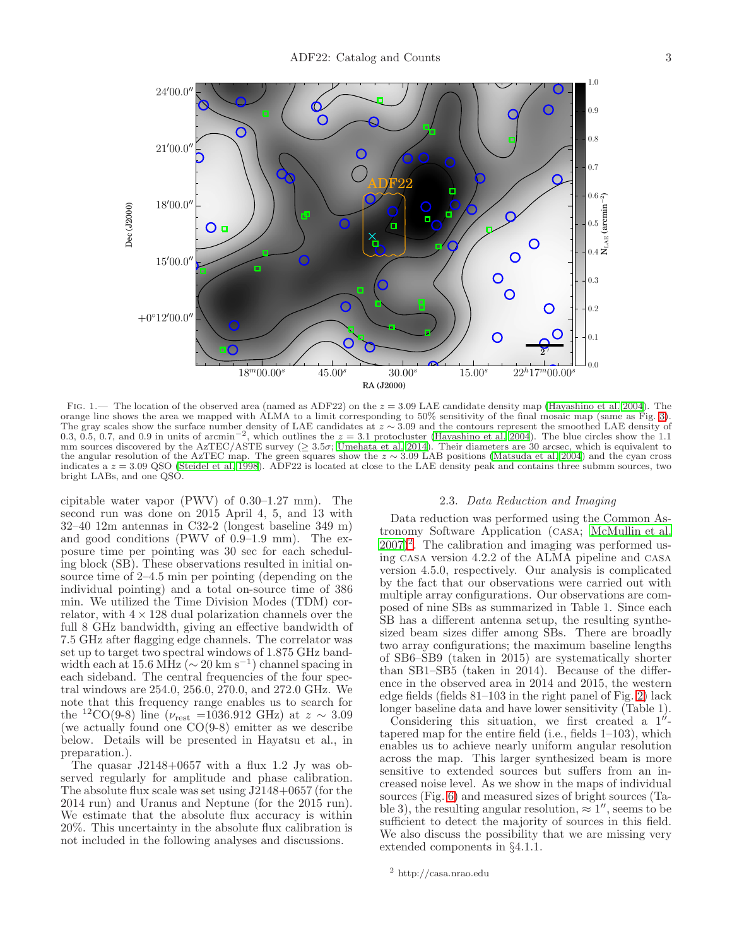

<span id="page-2-0"></span>FIG. 1.— The location of the observed area (named as ADF22) on the  $z = 3.09$  LAE candidate density map [\(Hayashino et al. 2004](#page-13-16)). The orange line shows the area we mapped with ALMA to a limit corresponding to 50% sensitivity of the final mosaic map (same as Fig. [3\)](#page-4-0). The gray scales show the surface number density of LAE candidates at  $z \sim 3.09$  and the contours represent the smoothed LAE density of 0.3, 0.5, 0.7, and 0.9 in units of arcmin<sup>-2</sup>, which outlines the  $z = 3.1$  protocluste mm sources discovered by the AzTEC/ASTE survey ( $\geq 3.5\sigma$ ; [Umehata et al. 2014](#page-15-0)). Their diameters are 30 arcsec, which is equivalent to the angular resolution of the AzTEC map. The green squares show the  $z \sim 3.09$  LAB positions [\(Matsuda et al. 2004](#page-13-25)) and the cyan cross indicates a  $z = 3.09$  QSO [\(Steidel et al. 1998](#page-14-2)). ADF22 is located at close to the LAE density peak and contains three submm sources, two bright LABs, and one QSO.

cipitable water vapor (PWV) of 0.30–1.27 mm). The second run was done on 2015 April 4, 5, and 13 with 32–40 12m antennas in C32-2 (longest baseline 349 m) and good conditions (PWV of 0.9–1.9 mm). The exposure time per pointing was 30 sec for each scheduling block (SB). These observations resulted in initial onsource time of 2–4.5 min per pointing (depending on the individual pointing) and a total on-source time of 386 min. We utilized the Time Division Modes (TDM) correlator, with  $4 \times 128$  dual polarization channels over the full 8 GHz bandwidth, giving an effective bandwidth of 7.5 GHz after flagging edge channels. The correlator was set up to target two spectral windows of 1.875 GHz bandwidth each at 15.6 MHz ( $\sim 20 \text{ km s}^{-1}$ ) channel spacing in each sideband. The central frequencies of the four spectral windows are 254.0, 256.0, 270.0, and 272.0 GHz. We note that this frequency range enables us to search for the <sup>12</sup>CO(9-8) line ( $\nu_{\text{rest}}$  =1036.912 GHz) at  $z \sim 3.09$ (we actually found one CO(9-8) emitter as we describe below. Details will be presented in Hayatsu et al., in preparation.).

The quasar  $J2148+0657$  with a flux 1.2 Jy was observed regularly for amplitude and phase calibration. The absolute flux scale was set using J2148+0657 (for the 2014 run) and Uranus and Neptune (for the 2015 run). We estimate that the absolute flux accuracy is within 20%. This uncertainty in the absolute flux calibration is not included in the following analyses and discussions.

#### 2.3. Data Reduction and Imaging

Data reduction was performed using the Common Astronomy Software Application (casa; [McMullin et al.](#page-13-26)  $(2007)^2$  $(2007)^2$  $(2007)^2$  $(2007)^2$ . The calibration and imaging was performed using casa version 4.2.2 of the ALMA pipeline and casa version 4.5.0, respectively. Our analysis is complicated by the fact that our observations were carried out with multiple array configurations. Our observations are composed of nine SBs as summarized in Table 1. Since each SB has a different antenna setup, the resulting synthesized beam sizes differ among SBs. There are broadly two array configurations; the maximum baseline lengths of SB6–SB9 (taken in 2015) are systematically shorter than SB1–SB5 (taken in 2014). Because of the difference in the observed area in 2014 and 2015, the western edge fields (fields 81–103 in the right panel of Fig. [2\)](#page-3-0) lack longer baseline data and have lower sensitivity (Table 1).

Considering this situation, we first created a  $1''$ tapered map for the entire field (i.e., fields 1–103), which enables us to achieve nearly uniform angular resolution across the map. This larger synthesized beam is more sensitive to extended sources but suffers from an increased noise level. As we show in the maps of individual sources (Fig. [6\)](#page-6-0) and measured sizes of bright sources (Table 3), the resulting angular resolution,  $\approx 1''$ , seems to be sufficient to detect the majority of sources in this field. We also discuss the possibility that we are missing very extended components in §4.1.1.

<span id="page-2-1"></span> $^2$ http://casa.nrao.edu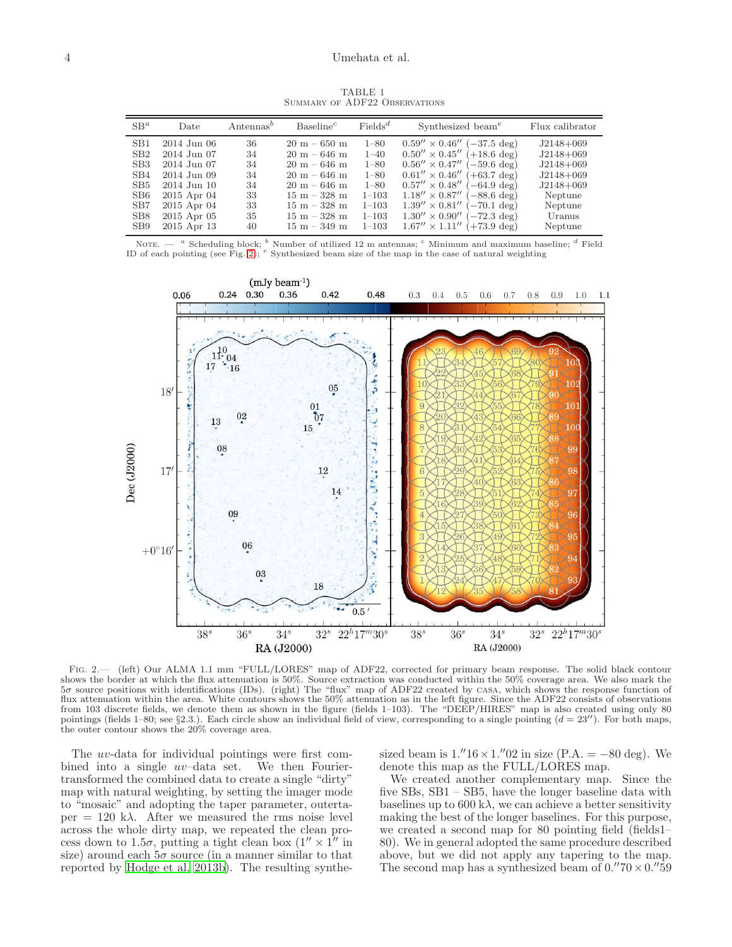TABLE 1 Summary of ADF22 Observations

| $SB^a$                                                                                                                                           | Date                                                                                                                                    | Antennas <sup>b</sup>                              | Baseline <sup>c</sup>                                                                                                                                          | $\text{Fields}^d$                                                                                            | Synthesized beam <sup>e</sup>                                                                                                                                                                                                                                                                                                                      | Flux calibrator                                                                                                    |
|--------------------------------------------------------------------------------------------------------------------------------------------------|-----------------------------------------------------------------------------------------------------------------------------------------|----------------------------------------------------|----------------------------------------------------------------------------------------------------------------------------------------------------------------|--------------------------------------------------------------------------------------------------------------|----------------------------------------------------------------------------------------------------------------------------------------------------------------------------------------------------------------------------------------------------------------------------------------------------------------------------------------------------|--------------------------------------------------------------------------------------------------------------------|
| SB <sub>1</sub><br>SB2<br>SB <sub>3</sub><br>S <sub>B</sub> 4<br>SB <sub>5</sub><br>SB <sub>6</sub><br>SB7<br>SB <sub>8</sub><br>SB <sub>9</sub> | 2014 Jun 06<br>2014 Jun 07<br>2014 Jun 07<br>2014 Jun 09<br>2014 Jun 10<br>2015 Apr 04<br>2015 Apr 04<br>$2015$ Apr $05$<br>2015 Apr 13 | 36<br>34<br>34<br>34<br>34<br>33<br>33<br>35<br>40 | $20 m - 650 m$<br>$20 m - 646 m$<br>$20 m - 646 m$<br>$20 m - 646 m$<br>$20 m - 646 m$<br>$15 m - 328 m$<br>$15 m - 328 m$<br>$15 m - 328 m$<br>$15 m - 349 m$ | $1 - 80$<br>$1 - 40$<br>$1 - 80$<br>$1 - 80$<br>$1 - 80$<br>$1 - 103$<br>$1 - 103$<br>$1 - 103$<br>$1 - 103$ | $0.59'' \times 0.46''$ (-37.5 deg)<br>$0.50'' \times 0.45''$ (+18.6 deg)<br>$0.56'' \times 0.47''$ (-59.6 deg)<br>$0.61'' \times 0.46''$ (+63.7 deg)<br>$0.57'' \times 0.48''$ (-64.9 deg)<br>$1.18'' \times 0.87''$ (-88.6 deg)<br>$1.39'' \times 0.81''$ (-70.1 deg)<br>$1.30'' \times 0.90''$ (-72.3 deg)<br>$1.67'' \times 1.11''$ (+73.9 deg) | $J2148+069$<br>$J2148+069$<br>$J2148+069$<br>$J2148+069$<br>$J2148+069$<br>Neptune<br>Neptune<br>Uranus<br>Neptune |

NOTE.  $-$  <sup>a</sup> Scheduling block;  $^b$  Number of utilized 12 m antennas;  $^c$  Minimum and maximum baseline;  $^d$  Field ID of each pointing (see Fig. [2\)](#page-3-0);  $e$  Synthesized beam size of the map in the case of natural weighting



<span id="page-3-0"></span>Fig. 2.— (left) Our ALMA 1.1 mm "FULL/LORES" map of ADF22, corrected for primary beam response. The solid black contour shows the border at which the flux attenuation is 50%. Source extraction was conducted within the 50% coverage area. We also mark the 5σ source positions with identifications (IDs). (right) The "flux" map of ADF22 created by casa, which shows the response function of flux attenuation within the area. White contours shows the 50% attenuation as in the left figure. Since the ADF22 consists of observations from 103 discrete fields, we denote them as shown in the figure (fields 1–103). The "DEEP/HIRES" map is also created using only 80 pointings (fields 1–80; see §2.3.). Each circle show an individual field of view, corresponding to a single pointing  $(d = 23'')$ . For both maps, the outer contour shows the 20% coverage area.

The uv-data for individual pointings were first combined into a single uv–data set. We then Fouriertransformed the combined data to create a single "dirty" map with natural weighting, by setting the imager mode to "mosaic" and adopting the taper parameter, outerta $per = 120 \text{ k}\lambda$ . After we measured the rms noise level across the whole dirty map, we repeated the clean process down to 1.5 $\sigma$ , putting a tight clean box  $(1'' \times 1'')$  in size) around each  $5\sigma$  source (in a manner similar to that reported by [Hodge et al. 2013b\)](#page-13-27). The resulting synthe-

sized beam is  $1.'′16 \times 1.'′02$  in size (P.A. =  $-80$  deg). We denote this map as the FULL/LORES map.

We created another complementary map. Since the five SBs, SB1 – SB5, have the longer baseline data with baselines up to  $600 \text{ k}\lambda$ , we can achieve a better sensitivity making the best of the longer baselines. For this purpose, we created a second map for 80 pointing field (fields1– 80). We in general adopted the same procedure described above, but we did not apply any tapering to the map. The second map has a synthesized beam of  $0.^{\prime\prime}70 \times 0.^{\prime\prime}59$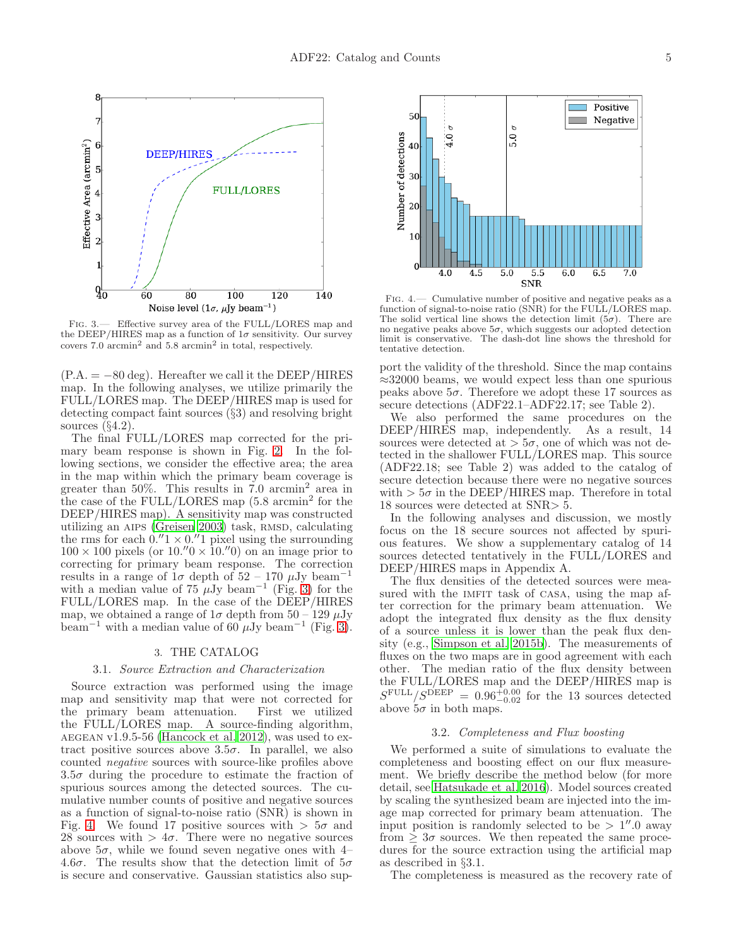

<span id="page-4-0"></span>Fig. 3.— Effective survey area of the FULL/LORES map and the DEEP/HIRES map as a function of  $1\sigma$  sensitivity. Our survey covers  $7.0$  arcmin<sup>2</sup> and  $5.8$  arcmin<sup>2</sup> in total, respectively.

 $(P.A. = -80 \text{ deg})$ . Hereafter we call it the DEEP/HIRES map. In the following analyses, we utilize primarily the FULL/LORES map. The DEEP/HIRES map is used for detecting compact faint sources (§3) and resolving bright sources (§4.2).

The final FULL/LORES map corrected for the primary beam response is shown in Fig. [2.](#page-3-0) In the following sections, we consider the effective area; the area in the map within which the primary beam coverage is greater than 50%. This results in 7.0 arcmin<sup>2</sup> area in the case of the FULL/LORES map (5.8 arcmin<sup>2</sup> for the DEEP/HIRES map). A sensitivity map was constructed utilizing an AIPS [\(Greisen 2003](#page-13-28)) task, RMSD, calculating the rms for each  $0.^{\prime\prime}1 \times 0.^{\prime\prime}1$  pixel using the surrounding  $100 \times 100$  pixels (or  $10.^{\prime\prime}0 \times 10.^{\prime\prime}0$ ) on an image prior to correcting for primary beam response. The correction results in a range of  $1\sigma$  depth of  $52 - 170 \mu Jy$  beam<sup>-1</sup> with a median value of  $75 \mu Jy$  beam<sup>-1</sup> (Fig. [3\)](#page-4-0) for the FULL/LORES map. In the case of the DEEP/HIRES map, we obtained a range of  $1\sigma$  depth from  $50 - 129 \mu Jy$ beam<sup>-1</sup> with a median value of 60  $\mu$ Jy beam<sup>-1</sup> (Fig. [3\)](#page-4-0).

#### 3. THE CATALOG

#### 3.1. Source Extraction and Characterization

Source extraction was performed using the image map and sensitivity map that were not corrected for the primary beam attenuation. First we utilized the FULL/LORES map. A source-finding algorithm, AEGEAN v1.9.5-56 [\(Hancock et al. 2012](#page-13-29)), was used to extract positive sources above  $3.5\sigma$ . In parallel, we also counted negative sources with source-like profiles above  $3.5\sigma$  during the procedure to estimate the fraction of spurious sources among the detected sources. The cumulative number counts of positive and negative sources as a function of signal-to-noise ratio (SNR) is shown in Fig. [4.](#page-4-1) We found 17 positive sources with  $> 5\sigma$  and 28 sources with  $> 4\sigma$ . There were no negative sources above  $5\sigma$ , while we found seven negative ones with 4– 4.6 $\sigma$ . The results show that the detection limit of  $5\sigma$ is secure and conservative. Gaussian statistics also sup-



<span id="page-4-1"></span>Fig. 4.— Cumulative number of positive and negative peaks as a function of signal-to-noise ratio (SNR) for the FULL/LORES map. The solid vertical line shows the detection limit  $(5\sigma)$ . There are no negative peaks above  $5\sigma$ , which suggests our adopted detection limit is conservative. The dash-dot line shows the threshold for tentative detection.

port the validity of the threshold. Since the map contains  $\approx$ 32000 beams, we would expect less than one spurious peaks above  $5\sigma$ . Therefore we adopt these 17 sources as secure detections (ADF22.1–ADF22.17; see Table 2).

We also performed the same procedures on the DEEP/HIRES map, independently. As a result, 14 sources were detected at  $> 5\sigma$ , one of which was not detected in the shallower FULL/LORES map. This source (ADF22.18; see Table 2) was added to the catalog of secure detection because there were no negative sources with  $> 5\sigma$  in the DEEP/HIRES map. Therefore in total 18 sources were detected at SNR> 5.

In the following analyses and discussion, we mostly focus on the 18 secure sources not affected by spurious features. We show a supplementary catalog of 14 sources detected tentatively in the FULL/LORES and DEEP/HIRES maps in Appendix A.

The flux densities of the detected sources were measured with the IMFIT task of CASA, using the map after correction for the primary beam attenuation. We adopt the integrated flux density as the flux density of a source unless it is lower than the peak flux density (e.g., [Simpson et al. 2015b\)](#page-14-5). The measurements of fluxes on the two maps are in good agreement with each other. The median ratio of the flux density between the FULL/LORES map and the DEEP/HIRES map is  $S^{\text{FULL}}/S^{\text{DEEP}} = 0.96^{+0.00}_{-0.02}$  for the 13 sources detected above  $5\sigma$  in both maps.

## 3.2. Completeness and Flux boosting

We performed a suite of simulations to evaluate the completeness and boosting effect on our flux measurement. We briefly describe the method below (for more detail, see [Hatsukade et al. 2016](#page-13-14)). Model sources created by scaling the synthesized beam are injected into the image map corrected for primary beam attenuation. The input position is randomly selected to be  $> 1''.0$  away from  $\geq 3\sigma$  sources. We then repeated the same procedures for the source extraction using the artificial map as described in §3.1.

The completeness is measured as the recovery rate of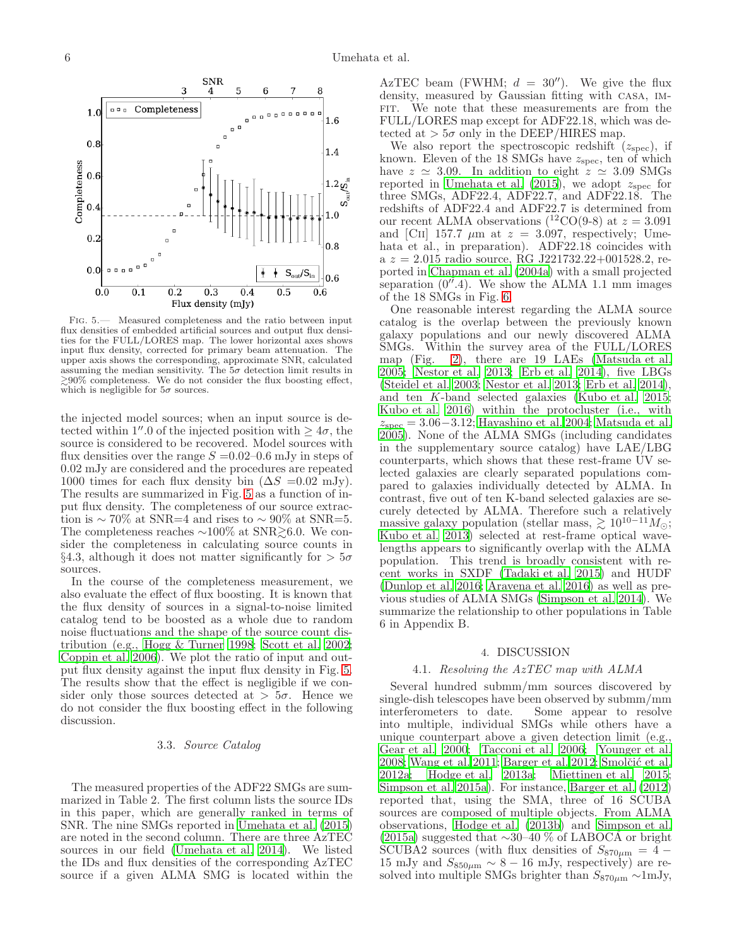

<span id="page-5-0"></span>Fig. 5.— Measured completeness and the ratio between input flux densities of embedded artificial sources and output flux densities for the FULL/LORES map. The lower horizontal axes shows input flux density, corrected for primary beam attenuation. The upper axis shows the corresponding, approximate SNR, calculated assuming the median sensitivity. The  $5\sigma$  detection limit results in  $\geq 90\%$  completeness. We do not consider the flux boosting effect, which is negligible for  $5\sigma$  sources.

the injected model sources; when an input source is detected within 1''.0 of the injected position with  $\geq 4\sigma$ , the source is considered to be recovered. Model sources with flux densities over the range  $S = 0.02{\text -}0.6$  mJy in steps of 0.02 mJy are considered and the procedures are repeated 1000 times for each flux density bin  $(\Delta S = 0.02 \text{ mJy}).$ The results are summarized in Fig. [5](#page-5-0) as a function of input flux density. The completeness of our source extraction is  $\sim$  70% at SNR=4 and rises to  $\sim$  90% at SNR=5. The completeness reaches  $\sim$ 100% at SNR $\geq$ 6.0. We consider the completeness in calculating source counts in §4.3, although it does not matter significantly for  $> 5\sigma$ sources.

In the course of the completeness measurement, we also evaluate the effect of flux boosting. It is known that the flux density of sources in a signal-to-noise limited catalog tend to be boosted as a whole due to random noise fluctuations and the shape of the source count distribution (e.g., [Hogg & Turner 1998;](#page-13-30) [Scott et al. 2002;](#page-13-31) [Coppin et al. 2006\)](#page-13-32). We plot the ratio of input and output flux density against the input flux density in Fig. [5.](#page-5-0) The results show that the effect is negligible if we consider only those sources detected at  $> 5\sigma$ . Hence we do not consider the flux boosting effect in the following discussion.

# 3.3. Source Catalog

The measured properties of the ADF22 SMGs are summarized in Table 2. The first column lists the source IDs in this paper, which are generally ranked in terms of SNR. The nine SMGs reported in [Umehata et al. \(2015](#page-15-4)) are noted in the second column. There are three AzTEC sources in our field [\(Umehata et al. 2014\)](#page-15-0). We listed the IDs and flux densities of the corresponding AzTEC source if a given ALMA SMG is located within the

AzTEC beam (FWHM;  $d = 30''$ ). We give the flux density, measured by Gaussian fitting with casa, im-FIT. We note that these measurements are from the FULL/LORES map except for ADF22.18, which was detected at  $> 5\sigma$  only in the DEEP/HIRES map.

We also report the spectroscopic redshift  $(z_{\rm spec})$ , if known. Eleven of the 18 SMGs have  $z_{\rm spec}$ , ten of which have  $z \approx 3.09$ . In addition to eight  $z \approx 3.09$  SMGs reported in [Umehata et al. \(2015\)](#page-15-4), we adopt  $z_{\rm spec}$  for three SMGs, ADF22.4, ADF22.7, and ADF22.18. The redshifts of ADF22.4 and ADF22.7 is determined from our recent ALMA observations  $(^{12}CO(9-8)$  at  $z = 3.091$ and [CII] 157.7  $\mu$ m at  $z = 3.097$ , respectively; Umehata et al., in preparation). ADF22.18 coincides with a  $z = 2.015$  radio source, RG J221732.22+001528.2, reported in [Chapman et al. \(2004a](#page-13-33)) with a small projected separation  $(0<sup>7</sup>.4)$ . We show the ALMA 1.1 mm images of the 18 SMGs in Fig. [6.](#page-6-0)

One reasonable interest regarding the ALMA source catalog is the overlap between the previously known galaxy populations and our newly discovered ALMA SMGs. Within the survey area of the FULL/LORES map (Fig. [2\)](#page-3-0), there are 19 LAEs [\(Matsuda et al.](#page-13-17) [2005;](#page-13-17) [Nestor et al. 2013;](#page-13-34) [Erb et al. 2014\)](#page-13-35), five LBGs [\(Steidel et al. 2003;](#page-14-6) [Nestor et al. 2013;](#page-13-34) [Erb et al. 2014](#page-13-35)), and ten K-band selected galaxies [\(Kubo et al. 2015](#page-13-19); [Kubo et al. 2016\)](#page-13-36) within the protocluster (i.e., with  $z_{\rm spec} = 3.06 - 3.12$ ; [Hayashino et al. 2004](#page-13-16); [Matsuda et al.](#page-13-17) [2005\)](#page-13-17). None of the ALMA SMGs (including candidates in the supplementary source catalog) have LAE/LBG counterparts, which shows that these rest-frame UV selected galaxies are clearly separated populations compared to galaxies individually detected by ALMA. In contrast, five out of ten K-band selected galaxies are securely detected by ALMA. Therefore such a relatively massive galaxy population (stellar mass,  $\gtrsim 10^{10-11} M_{\odot}$ ; [Kubo et al. 2013](#page-13-18)) selected at rest-frame optical wavelengths appears to significantly overlap with the ALMA population. This trend is broadly consistent with recent works in SXDF [\(Tadaki et al. 2015](#page-14-1)) and HUDF [\(Dunlop et al. 2016](#page-13-15); [Aravena et al. 2016\)](#page-12-2) as well as previous studies of ALMA SMGs [\(Simpson et al. 2014](#page-13-37)). We summarize the relationship to other populations in Table 6 in Appendix B.

# 4. DISCUSSION

## 4.1. Resolving the AzTEC map with ALMA

Several hundred submm/mm sources discovered by single-dish telescopes have been observed by submm/mm interferometers to date. Some appear to resolve into multiple, individual SMGs while others have a unique counterpart above a given detection limit (e.g., [Gear et al. 2000](#page-13-38); [Tacconi et al. 2006;](#page-14-7) [Younger et al.](#page-15-5) [2008;](#page-15-5) [Wang et al. 2011;](#page-15-6) [Barger et al. 2012;](#page-12-5) Smolčić et al. [2012a;](#page-14-8) [Hodge et al. 2013a](#page-13-39); [Miettinen et al. 2015](#page-13-40); [Simpson et al. 2015a\)](#page-14-9). For instance, [Barger et al. \(2012](#page-12-5)) reported that, using the SMA, three of 16 SCUBA sources are composed of multiple objects. From ALMA observations, [Hodge et al. \(2013b\)](#page-13-27) and [Simpson et al.](#page-14-9) [\(2015a\)](#page-14-9) suggested that ∼30–40 % of LABOCA or bright SCUBA2 sources (with flux densities of  $S_{870\mu m} = 4 15 \text{ mJy}$  and  $S_{850\mu\text{m}} \sim 8 - 16 \text{ mJy}$ , respectively) are resolved into multiple SMGs brighter than  $S_{870\mu\rm m} \sim 1 \text{mJy}$ ,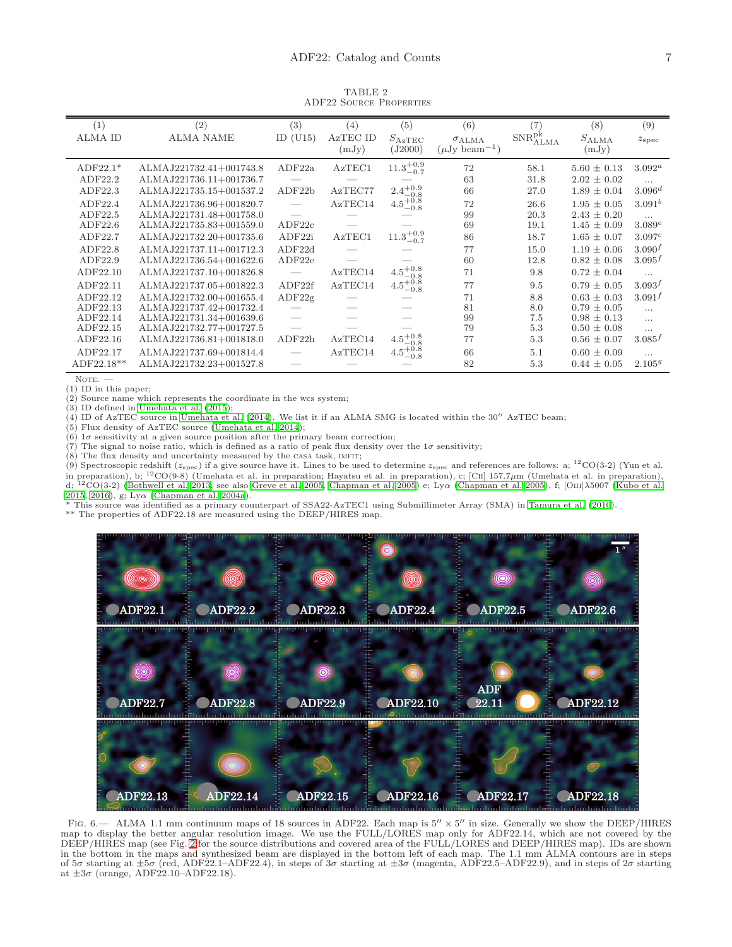TABLE 2 ADF22 Source Properties

| (1)            | (2)                     | (3)                      | (4)      | (5)                           | (6)                            | (7                    | (8)             | (9)                |
|----------------|-------------------------|--------------------------|----------|-------------------------------|--------------------------------|-----------------------|-----------------|--------------------|
| <b>ALMA ID</b> | <b>ALMA NAME</b>        | ID $(U15)$               | AzTEC ID | $S_{\rm AzTEC}$               | $\sigma$ ALMA                  | $\rm SNR_{ALMA}^{pk}$ | $S_{\rm ALMA}$  | $z_{\rm spec}$     |
|                |                         |                          | (mJy)    | (J2000)                       | $(\mu Jy$ beam <sup>-1</sup> ) |                       | (mJy)           |                    |
| $ADF22.1*$     | ALMAJ221732.41+001743.8 | ADF22a                   | AzTEC1   | $11.3^{+0.9}_{-0.7}$          | 72                             | 58.1                  | $5.60 \pm 0.13$ | $3.092^a$          |
| ADF22.2        | ALMAJ221736.11+001736.7 |                          |          |                               | 63                             | 31.8                  | $2.02 \pm 0.02$ | $\cdots$           |
| ADF22.3        | ALMAJ221735.15+001537.2 | ADF22b                   | AzTEC77  | $2.4^{+0.9}_{-0.8}$           | 66                             | 27.0                  | $1.89 \pm 0.04$ | $3.096^{d}$        |
| ADF22.4        | ALMAJ221736.96+001820.7 | $\overline{\phantom{m}}$ | AzTEC14  | $4.5^{+0.8}_{-0.8}$           | 72                             | 26.6                  | $1.95 \pm 0.05$ | $3.091^b$          |
| ADF22.5        | ALMAJ221731.48+001758.0 |                          |          |                               | 99                             | 20.3                  | $2.43 \pm 0.20$ | $\cdots$           |
| ADF22.6        | ALMAJ221735.83+001559.0 | ADF22c                   |          |                               | 69                             | 19.1                  | $1.45 \pm 0.09$ | 3.089e             |
| ADF22.7        | ALMAJ221732.20+001735.6 | ADF22i                   | AzTEC1   | $11.3^{+0.9}_{-0.7}$          | 86                             | 18.7                  | $1.65 \pm 0.07$ | 3.097c             |
| ADF22.8        | ALMAJ221737.11+001712.3 | ADF22d                   |          |                               | 77                             | 15.0                  | $1.19 \pm 0.06$ | 3.090 <sup>f</sup> |
| ADF22.9        | ALMAJ221736.54+001622.6 | ADF22e                   |          |                               | 60                             | 12.8                  | $0.82 \pm 0.08$ | $3.095^{f}$        |
| ADF22.10       | ALMAJ221737.10+001826.8 |                          | AzTEC14  | $4.5^{+0.8}$                  | 71                             | 9.8                   | $0.72 \pm 0.04$ | $\cdots$           |
| ADF22.11       | ALMAJ221737.05+001822.3 | ADF22f                   | AzTEC14  | $4.5^{+0.8}_{-0.8}$<br>$-0.8$ | 77                             | 9.5                   | $0.79 \pm 0.05$ | $3.093^{f}$        |
| ADF22.12       | ALMAJ221732.00+001655.4 | ADF22g                   |          |                               | 71                             | 8.8                   | $0.63 \pm 0.03$ | $3.091^{f}$        |
| ADF22.13       | ALMAJ221737.42+001732.4 |                          |          |                               | 81                             | 8.0                   | $0.79 \pm 0.05$ | .                  |
| ADF22.14       | ALMAJ221731.34+001639.6 |                          |          |                               | 99                             | 7.5                   | $0.98 \pm 0.13$ | $\cdots$           |
| ADF22.15       | ALMAJ221732.77+001727.5 |                          |          |                               | 79                             | 5.3                   | $0.50 \pm 0.08$ | .                  |
| ADF22.16       | ALMAJ221736.81+001818.0 | ADF22h                   | AzTEC14  | $4.5^{+0.8}$<br>$-0.8$        | 77                             | 5.3                   | $0.56 \pm 0.07$ | $3.085^{f}$        |
| ADF22.17       | ALMAJ221737.69+001814.4 |                          | AzTEC14  | $4.5^{+0.8}_{-0.8}$<br>$-0.8$ | 66                             | 5.1                   | $0.60 \pm 0.09$ | $\cdots$           |
| ADF22.18**     | ALMAJ221732.23+001527.8 |                          |          |                               | 82                             | 5.3                   | $0.44 \pm 0.05$ | 2.105 <sup>g</sup> |

NOTE.

(1) ID in this paper;

(2) Source name which represents the coordinate in the wcs system;

 $(3)$  ID defined in Umehata et al.  $(2015)$ ;

 $(4)$  ID of AzTEC source in [Umehata et al. \(2014\)](#page-15-0). We list it if an ALMA SMG is located within the 30<sup> $\prime\prime$ </sup> AzTEC beam;

(5) Flux density of AzTEC source [\(Umehata et al. 2014](#page-15-0));

(6)  $1\sigma$  sensitivity at a given source position after the primary beam correction;

(7) The signal to noise ratio, which is defined as a ratio of peak flux density over the  $1\sigma$  sensitivity;

(8) The flux density and uncertainty measured by the casa task, imfit;

(9) Spectroscopic redshift ( $z_{\rm spec}$ ) if a give source have it. Lines to be used to determine  $z_{\rm spec}$  and references are follows: a; <sup>12</sup>CO(3-2) (Yun et al. in preparation), b; <sup>12</sup>CO(9-8) (Umehata et al. in preparation; Hayatsu et al. in preparation), c; [CII] 157.7µm (Umehata et al. in preparation), d; <sup>12</sup>CO(3-2) [\(Bothwell et al. 2013](#page-12-4), see also [Greve et al. 2005](#page-13-23), Chapman e [2015,](#page-13-19) [2016\)](#page-13-36), g; Ly $\alpha$  [\(Chapman et al. 2004a](#page-13-33)).

\* This source was identified as a primary counterpart of SSA22-AzTEC1 using Submillimeter Array (SMA) in [Tamura et al. \(2010](#page-14-4)).

\*\* The properties of ADF22.18 are measured using the DEEP/HIRES map.



<span id="page-6-0"></span>FIG.  $6 -$  ALMA 1.1 mm continuum maps of 18 sources in ADF22. Each map is  $5'' \times 5''$  in size. Generally we show the DEEP/HIRES map to display the better angular resolution image. We use the FULL/LORES map only for ADF22.14, which are not covered by the DEEP/HIRES map (see Fig. [2](#page-3-0) for the source distributions and covered area of the FULL/LORES and DEEP/HIRES map). IDs are shown in the bottom in the maps and synthesized beam are displayed in the bottom left of each map. The 1.1 mm ALMA contours are in steps of 5 $\sigma$  starting at  $\pm 5\sigma$  (red, ADF22.1–ADF22.4), in steps of 3 $\sigma$  starting at  $\pm 3\sigma$  (magenta, ADF22.5–ADF22.9), and in steps of 2 $\sigma$  starting at  $\pm 3\sigma$  (orange, ADF22.10–ADF22.18).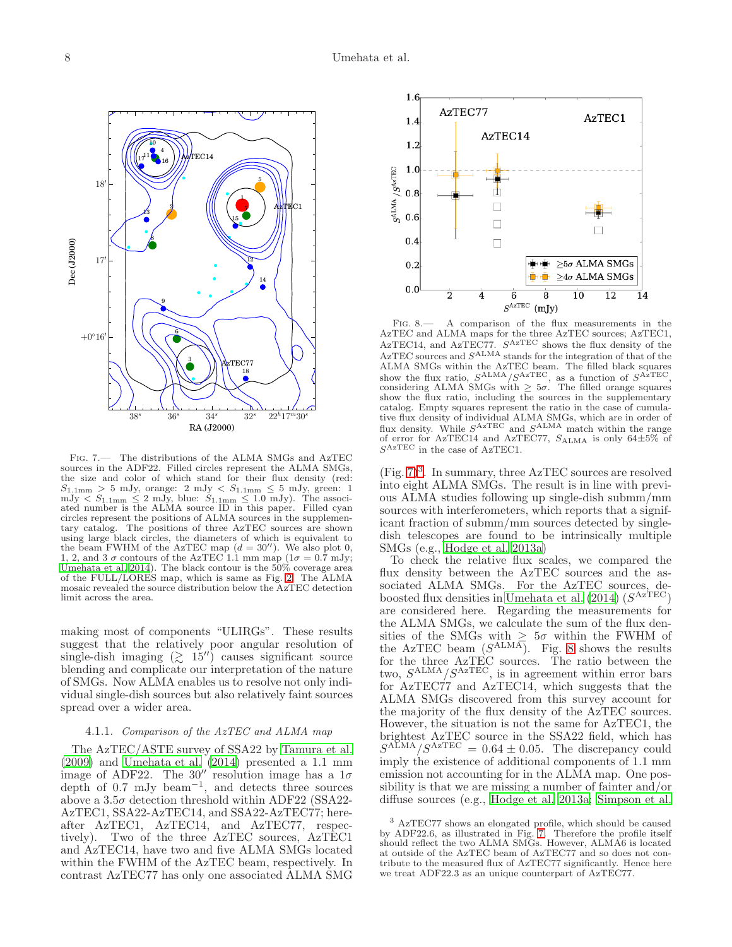

<span id="page-7-0"></span>Fig. 7.— The distributions of the ALMA SMGs and AzTEC sources in the ADF22. Filled circles represent the ALMA SMGs, the size and color of which stand for their flux density (red:  $S_{1.1mm} > 5$  mJy, orange: 2 mJy  $< S_{1.1mm} \leq 5$  mJy, green: 1 mJy  $\langle S_{1.1\text{mm}} \leq 2 \text{ mJy}$ , blue:  $S_{1.1\text{mm}} \leq 1.0 \text{ mJy}$ ). The associated number is the ALMA source ID in this paper. Filled cyan circles represent the positions of ALMA sources in the supplementary catalog. The positions of three AzTEC sources are shown using large black circles, the diameters of which is equivalent to the beam FWHM of the AzTEC map  $(d = 30'')$ . We also plot 0, 1, 2, and 3  $\sigma$  contours of the AzTEC 1.1 mm map ( $1\sigma = 0.7$  mJy; [Umehata et al. 2014](#page-15-0)). The black contour is the  $50\%$  coverage area of the FULL/LORES map, which is same as Fig. [2.](#page-3-0) The ALMA mosaic revealed the source distribution below the AzTEC detection limit across the area.

making most of components "ULIRGs". These results suggest that the relatively poor angular resolution of single-dish imaging  $(2\ 15'')$  causes significant source blending and complicate our interpretation of the nature of SMGs. Now ALMA enables us to resolve not only individual single-dish sources but also relatively faint sources spread over a wider area.

## 4.1.1. Comparison of the AzTEC and ALMA map

The AzTEC/ASTE survey of SSA22 by [Tamura et al.](#page-14-0)  $(2009)$  and Umehata et al.  $(2014)$  presented a 1.1 mm image of ADF22. The 30'' resolution image has a  $1\sigma$ depth of 0.7 mJy beam−<sup>1</sup> , and detects three sources above a  $3.5\sigma$  detection threshold within ADF22 (SSA22-AzTEC1, SSA22-AzTEC14, and SSA22-AzTEC77; hereafter AzTEC1, AzTEC14, and AzTEC77, respectively). Two of the three AzTEC sources, AzTEC1 and AzTEC14, have two and five ALMA SMGs located within the FWHM of the AzTEC beam, respectively. In contrast AzTEC77 has only one associated ALMA SMG



<span id="page-7-2"></span>Fig. 8.— A comparison of the flux measurements in the AzTEC and ALMA maps for the three AzTEC sources; AzTEC1, AzTEC14, and AzTEC77.  $S^{AzTEC}$  shows the flux density of the  $A$ zTEC sources and  $S^{ALMA}$  stands for the integration of that of the ALMA SMGs within the AzTEC beam. The filled black squares show the flux ratio,  $S^{ALMA}/S^{AzTEC}$ , as a function of  $S^{AzTEC}$ , considering ALMA SMGs with  $\geq 5\sigma$ . The filled orange squares show the flux ratio, including the sources in the supplementary catalog. Empty squares represent the ratio in the case of cumulative flux density of individual ALMA SMGs, which are in order of flux density. While  $S^{AzTEC}$  and  $S^{ALMA}$  match within the range of error for AzTEC14 and AzTEC77,  $S_{\text{ALMA}}$  is only 64 $\pm 5\%$  of  $S^{AzTEC}$  in the case of AzTEC1.

 $(Fig. 7)<sup>3</sup>$  $(Fig. 7)<sup>3</sup>$  $(Fig. 7)<sup>3</sup>$  $(Fig. 7)<sup>3</sup>$  $(Fig. 7)<sup>3</sup>$ . In summary, three AzTEC sources are resolved into eight ALMA SMGs. The result is in line with previous ALMA studies following up single-dish submm/mm sources with interferometers, which reports that a significant fraction of submm/mm sources detected by singledish telescopes are found to be intrinsically multiple SMGs (e.g., [Hodge et al. 2013a\)](#page-13-39)

To check the relative flux scales, we compared the flux density between the AzTEC sources and the associated ALMA SMGs. For the AzTEC sources, de-boosted flux densities in [Umehata et al. \(2014\)](#page-15-0)  $(S^{AzTEC})$ are considered here. Regarding the measurements for the ALMA SMGs, we calculate the sum of the flux densities of the SMGs with  $\geq 5\sigma$  within the FWHM of the AzTEC beam  $(S^{ALMA})$ . Fig. [8](#page-7-2) shows the results for the three AzTEC sources. The ratio between the two,  $S^{\text{ALMA}}/S^{\text{AzTEC}}$ , is in agreement within error bars for AzTEC77 and AzTEC14, which suggests that the ALMA SMGs discovered from this survey account for the majority of the flux density of the AzTEC sources. However, the situation is not the same for AzTEC1, the brightest AzTEC source in the SSA22 field, which has  $S^{\text{ALMA}}/S^{\text{AzTEC}} = 0.64 \pm 0.05$ . The discrepancy could imply the existence of additional components of 1.1 mm emission not accounting for in the ALMA map. One possibility is that we are missing a number of fainter and/or diffuse sources (e.g., [Hodge et al. 2013a;](#page-13-39) [Simpson et al.](#page-14-9)

<span id="page-7-1"></span><sup>3</sup> AzTEC77 shows an elongated profile, which should be caused by ADF22.6, as illustrated in Fig. [7.](#page-7-0) Therefore the profile itself should reflect the two ALMA SMGs. However, ALMA6 is located at outside of the AzTEC beam of AzTEC77 and so does not contribute to the measured flux of AzTEC77 significantly. Hence here we treat ADF22.3 as an unique counterpart of AzTEC77.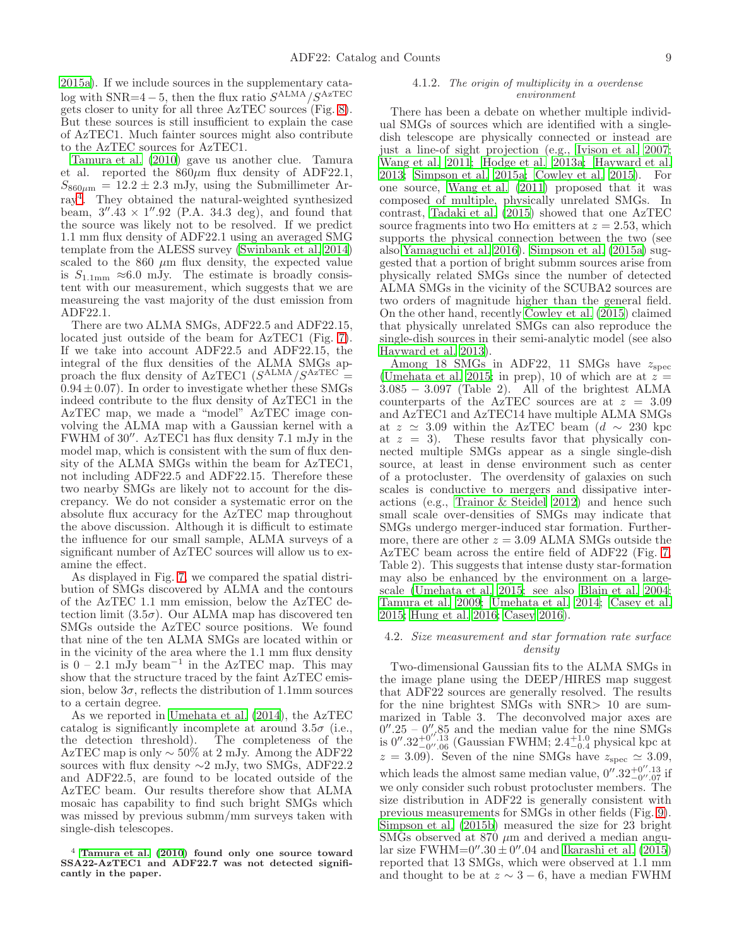[2015a\)](#page-14-9). If we include sources in the supplementary catalog with  $SNR=4-5$ , then the flux ratio  $S^{ALMA}/S^{AzTEC}$ gets closer to unity for all three AzTEC sources (Fig. [8\)](#page-7-2). But these sources is still insufficient to explain the case of AzTEC1. Much fainter sources might also contribute to the AzTEC sources for AzTEC1.

[Tamura et al. \(2010\)](#page-14-4) gave us another clue. Tamura et al. reported the  $860\mu m$  flux density of ADF22.1,  $S_{860\mu m} = 12.2 \pm 2.3$  mJy, using the Submillimeter Array[4](#page-8-0) . They obtained the natural-weighted synthesized beam,  $3''$ .  $43 \times 1''$ . 92 (P.A. 34.3 deg), and found that the source was likely not to be resolved. If we predict 1.1 mm flux density of ADF22.1 using an averaged SMG template from the ALESS survey [\(Swinbank et al. 2014](#page-14-10)) scaled to the  $860 \mu m$  flux density, the expected value is  $S_{1.1mm} \approx 6.0$  mJy. The estimate is broadly consistent with our measurement, which suggests that we are measureing the vast majority of the dust emission from ADF22.1.

There are two ALMA SMGs, ADF22.5 and ADF22.15, located just outside of the beam for AzTEC1 (Fig. [7\)](#page-7-0). If we take into account ADF22.5 and ADF22.15, the integral of the flux densities of the ALMA SMGs approach the flux density of AzTEC1  $(S<sup>ALMA</sup>/S<sup>AzTEC</sup>$  =  $0.94 \pm 0.07$ . In order to investigate whether these SMGs indeed contribute to the flux density of AzTEC1 in the AzTEC map, we made a "model" AzTEC image convolving the ALMA map with a Gaussian kernel with a FWHM of 30′′. AzTEC1 has flux density 7.1 mJy in the model map, which is consistent with the sum of flux density of the ALMA SMGs within the beam for AzTEC1, not including ADF22.5 and ADF22.15. Therefore these two nearby SMGs are likely not to account for the discrepancy. We do not consider a systematic error on the absolute flux accuracy for the AzTEC map throughout the above discussion. Although it is difficult to estimate the influence for our small sample, ALMA surveys of a significant number of AzTEC sources will allow us to examine the effect.

As displayed in Fig. [7,](#page-7-0) we compared the spatial distribution of SMGs discovered by ALMA and the contours of the AzTEC 1.1 mm emission, below the AzTEC detection limit  $(3.5\sigma)$ . Our ALMA map has discovered ten SMGs outside the AzTEC source positions. We found that nine of the ten ALMA SMGs are located within or in the vicinity of the area where the 1.1 mm flux density is  $0 - 2.1$  mJy beam<sup>-1</sup> in the AzTEC map. This may show that the structure traced by the faint AzTEC emission, below  $3\sigma$ , reflects the distribution of 1.1mm sources to a certain degree.

As we reported in [Umehata et al. \(2014](#page-15-0)), the AzTEC catalog is significantly incomplete at around  $3.5\sigma$  (i.e., the detection threshold). The completeness of the AzTEC map is only ∼ 50% at 2 mJy. Among the ADF22 sources with flux density ∼2 mJy, two SMGs, ADF22.2 and ADF22.5, are found to be located outside of the AzTEC beam. Our results therefore show that ALMA mosaic has capability to find such bright SMGs which was missed by previous submm/mm surveys taken with single-dish telescopes.

#### 4.1.2. The origin of multiplicity in a overdense environment

There has been a debate on whether multiple individual SMGs of sources which are identified with a singledish telescope are physically connected or instead are just a line-of sight projection (e.g., [Ivison et al. 2007](#page-13-41); [Wang et al. 2011;](#page-15-6) [Hodge et al. 2013a;](#page-13-39) [Hayward et al.](#page-13-42) [2013;](#page-13-42) [Simpson et al. 2015a;](#page-14-9) [Cowley et al. 2015\)](#page-13-43). For one source, [Wang et al. \(2011\)](#page-15-6) proposed that it was composed of multiple, physically unrelated SMGs. In contrast, [Tadaki et al. \(2015\)](#page-14-1) showed that one AzTEC source fragments into two H $\alpha$  emitters at  $z = 2.53$ , which supports the physical connection between the two (see also [Yamaguchi et al. 2016](#page-15-7)). [Simpson et al. \(2015a\)](#page-14-9) suggested that a portion of bright submm sources arise from physically related SMGs since the number of detected ALMA SMGs in the vicinity of the SCUBA2 sources are two orders of magnitude higher than the general field. On the other hand, recently [Cowley et al. \(2015](#page-13-43)) claimed that physically unrelated SMGs can also reproduce the single-dish sources in their semi-analytic model (see also [Hayward et al. 2013](#page-13-42)).

Among 18 SMGs in ADF22, 11 SMGs have  $z_{\text{spec}}$ [\(Umehata et al. 2015;](#page-15-4) in prep), 10 of which are at  $z =$ 3.085 − 3.097 (Table 2). All of the brightest ALMA counterparts of the AzTEC sources are at  $z = 3.09$ and AzTEC1 and AzTEC14 have multiple ALMA SMGs at  $z \approx 3.09$  within the AzTEC beam (d ~ 230 kpc at  $z = 3$ ). These results favor that physically connected multiple SMGs appear as a single single-dish source, at least in dense environment such as center of a protocluster. The overdensity of galaxies on such scales is conductive to mergers and dissipative interactions (e.g., [Trainor & Steidel 2012\)](#page-14-11) and hence such small scale over-densities of SMGs may indicate that SMGs undergo merger-induced star formation. Furthermore, there are other  $z = 3.09$  ALMA SMGs outside the AzTEC beam across the entire field of ADF22 (Fig. [7,](#page-7-0) Table 2). This suggests that intense dusty star-formation may also be enhanced by the environment on a largescale [\(Umehata et al. 2015](#page-15-4); see also [Blain et al. 2004](#page-12-1); [Tamura et al. 2009](#page-14-0); [Umehata et al. 2014;](#page-15-0) [Casey et al.](#page-13-9) [2015;](#page-13-9) [Hung et al. 2016;](#page-13-44) [Casey 2016](#page-13-45)).

# 4.2. Size measurement and star formation rate surface density

Two-dimensional Gaussian fits to the ALMA SMGs in the image plane using the DEEP/HIRES map suggest that ADF22 sources are generally resolved. The results for the nine brightest SMGs with SNR> 10 are summarized in Table 3. The deconvolved major axes are  $0''.25 - 0''.85$  and the median value for the nine SMGs is  $0''.32^{+0''.13}_{-0''.06}$  (Gaussian FWHM;  $2.4^{+1.0}_{-0.4}$  physical kpc at  $z = 3.09$ . Seven of the nine SMGs have  $z_{\text{spec}} \simeq 3.09$ , which leads the almost same median value,  $0''.32^{+0''.13}_{-0''.07}$  if we only consider such robust protocluster members. The size distribution in ADF22 is generally consistent with previous measurements for SMGs in other fields (Fig. [9\)](#page-9-0). [Simpson et al. \(2015b\)](#page-14-5) measured the size for 23 bright SMGs observed at 870  $\mu$ m and derived a median angular size FWHM=0''.30 $\pm$ 0''.04 and [Ikarashi et al. \(2015](#page-13-46)) reported that 13 SMGs, which were observed at 1.1 mm and thought to be at  $z \sim 3 - 6$ , have a median FWHM

<span id="page-8-0"></span> $4$  [Tamura et al. \(2010\)](#page-14-4) found only one source toward SSA22-AzTEC1 and ADF22.7 was not detected significantly in the paper.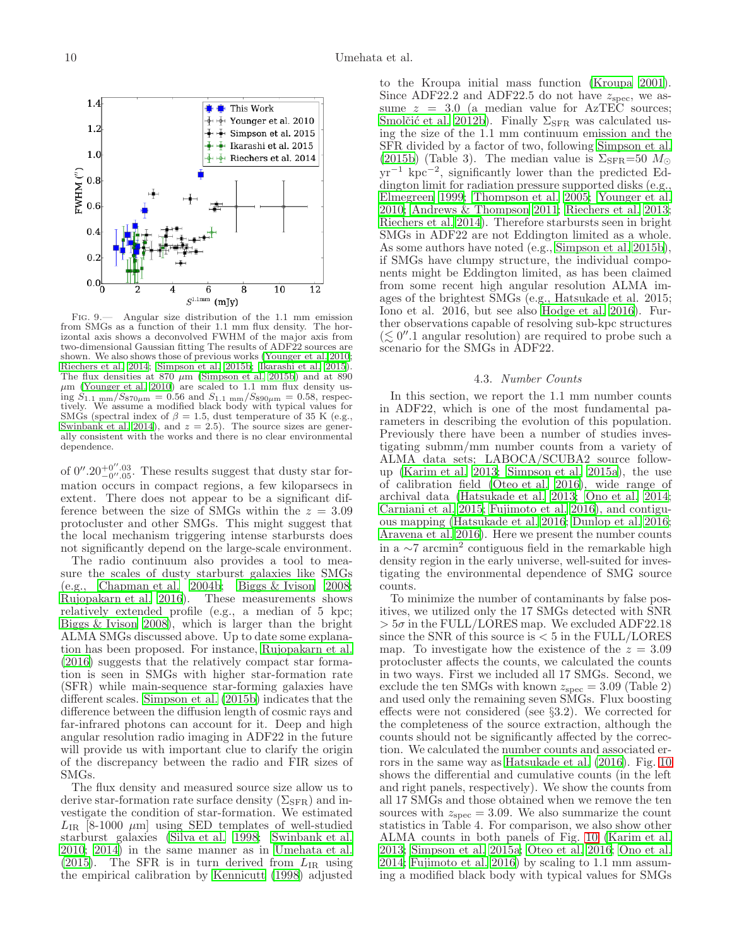

6

4

 $\blacksquare$  This Work

 $\overline{8}$ 

 $10$ 

Ŧ

 $\overline{\mathcal{F}}$  Younger et al. 2010

 $\frac{1}{2}$  Simpson et al. 2015  $\frac{1}{2}$  Ikarashi et al. 2015

 $\frac{1}{2}$  Riechers et al. 2014

 $\overline{12}$ 

of  $0''.20^{+0''.03}_{-0''.05}$ . These results suggest that dusty star formation occurs in compact regions, a few kiloparsecs in extent. There does not appear to be a significant difference between the size of SMGs within the  $z = 3.09$ protocluster and other SMGs. This might suggest that the local mechanism triggering intense starbursts does not significantly depend on the large-scale environment.

The radio continuum also provides a tool to measure the scales of dusty starburst galaxies like SMGs (e.g., Chapman et al.  $2004b$ ; [Biggs & Ivison 2008;](#page-12-6) [Rujopakarn et al. 2016\)](#page-13-49). These measurements shows relatively extended profile (e.g., a median of 5 kpc; [Biggs & Ivison 2008](#page-12-6)), which is larger than the bright ALMA SMGs discussed above. Up to date some explanation has been proposed. For instance, [Rujopakarn et al.](#page-13-49) [\(2016\)](#page-13-49) suggests that the relatively compact star formation is seen in SMGs with higher star-formation rate (SFR) while main-sequence star-forming galaxies have different scales. [Simpson et al. \(2015b\)](#page-14-5) indicates that the difference between the diffusion length of cosmic rays and far-infrared photons can account for it. Deep and high angular resolution radio imaging in ADF22 in the future will provide us with important clue to clarify the origin of the discrepancy between the radio and FIR sizes of SMGs.

The flux density and measured source size allow us to derive star-formation rate surface density  $(\Sigma_{\rm SFR})$  and investigate the condition of star-formation. We estimated  $L_{IR}$  [8-1000  $\mu$ m] using SED templates of well-studied starburst galaxies [\(Silva et al. 1998;](#page-13-50) [Swinbank et al.](#page-14-12) [2010;](#page-14-12) [2014\)](#page-14-10) in the same manner as in [Umehata et al.](#page-15-4) [\(2015\)](#page-15-4). The SFR is in turn derived from  $L_{IR}$  using the empirical calibration by [Kennicutt \(1998](#page-13-51)) adjusted

to the Kroupa initial mass function [\(Kroupa 2001](#page-13-52)). Since ADF22.2 and ADF22.5 do not have  $z_{\text{spec}}$ , we assume  $z = 3.0$  (a median value for AzTEC sources; Smolčić et al. 2012b). Finally  $\Sigma_{\rm SFR}$  was calculated using the size of the 1.1 mm continuum emission and the SFR divided by a factor of two, following [Simpson et al.](#page-14-5) [\(2015b\)](#page-14-5) (Table 3). The median value is  $\Sigma_{\rm SFR}$ =50  $M_{\odot}$ yr−<sup>1</sup> kpc−<sup>2</sup> , significantly lower than the predicted Eddington limit for radiation pressure supported disks (e.g., [Elmegreen 1999;](#page-13-53) [Thompson et al. 2005](#page-14-14); [Younger et al.](#page-15-8) [2010;](#page-15-8) [Andrews & Thompson 2011;](#page-12-7) [Riechers et al. 2013](#page-13-54); [Riechers et al. 2014](#page-13-47)). Therefore starbursts seen in bright SMGs in ADF22 are not Eddington limited as a whole. As some authors have noted (e.g., [Simpson et al. 2015b](#page-14-5)), if SMGs have clumpy structure, the individual components might be Eddington limited, as has been claimed from some recent high angular resolution ALMA images of the brightest SMGs (e.g., Hatsukade et al. 2015; Iono et al. 2016, but see also [Hodge et al. 2016\)](#page-13-55). Further observations capable of resolving sub-kpc structures  $(\lesssim 0''.1$  angular resolution) are required to probe such a scenario for the SMGs in ADF22.

### 4.3. Number Counts

In this section, we report the 1.1 mm number counts in ADF22, which is one of the most fundamental parameters in describing the evolution of this population. Previously there have been a number of studies investigating submm/mm number counts from a variety of ALMA data sets; LABOCA/SCUBA2 source followup [\(Karim et al. 2013;](#page-13-56) [Simpson et al. 2015a\)](#page-14-9), the use of calibration field [\(Oteo et al. 2016\)](#page-13-57), wide range of archival data [\(Hatsukade et al. 2013](#page-13-58); [Ono et al. 2014](#page-13-59); [Carniani et al. 2015;](#page-13-60) [Fujimoto et al. 2016\)](#page-13-61), and contiguous mapping [\(Hatsukade et al. 2016](#page-13-14); [Dunlop et al. 2016](#page-13-15); [Aravena et al. 2016\)](#page-12-2). Here we present the number counts in a  $\sim$ 7 arcmin<sup>2</sup> contiguous field in the remarkable high density region in the early universe, well-suited for investigating the environmental dependence of SMG source counts.

To minimize the number of contaminants by false positives, we utilized only the 17 SMGs detected with SNR  $> 5\sigma$  in the FULL/LORES map. We excluded ADF22.18 since the SNR of this source is  $< 5$  in the FULL/LORES map. To investigate how the existence of the  $z = 3.09$ protocluster affects the counts, we calculated the counts in two ways. First we included all 17 SMGs. Second, we exclude the ten SMGs with known  $z_{\text{spec}} = 3.09$  (Table 2) and used only the remaining seven SMGs. Flux boosting effects were not considered (see §3.2). We corrected for the completeness of the source extraction, although the counts should not be significantly affected by the correction. We calculated the number counts and associated errors in the same way as [Hatsukade et al. \(2016\)](#page-13-14). Fig. [10](#page-10-0) shows the differential and cumulative counts (in the left and right panels, respectively). We show the counts from all 17 SMGs and those obtained when we remove the ten sources with  $z_{\rm spec} = 3.09$ . We also summarize the count statistics in Table 4. For comparison, we also show other ALMA counts in both panels of Fig. [10](#page-10-0) [\(Karim et al.](#page-13-56) [2013;](#page-13-56) [Simpson et al. 2015a;](#page-14-9) [Oteo et al. 2016;](#page-13-57) [Ono et al.](#page-13-59) [2014;](#page-13-59) [Fujimoto et al. 2016](#page-13-61)) by scaling to 1.1 mm assuming a modified black body with typical values for SMGs

1.4

1.2

 $1.0$ 

 $0.6$ 

 $0.4$ 

 $0.2$ 

<span id="page-9-0"></span> $0.0^{L}_{0}$ 

") NHWE  $0.8$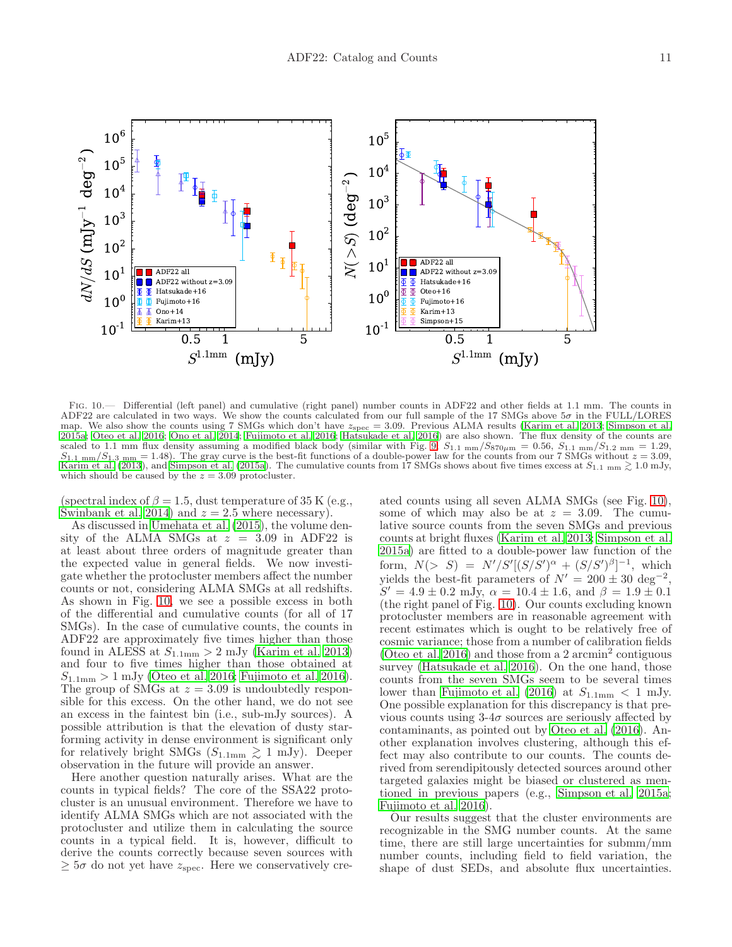

<span id="page-10-0"></span>Fig. 10.— Differential (left panel) and cumulative (right panel) number counts in ADF22 and other fields at 1.1 mm. The counts in ADF22 are calculated in two ways. We show the counts calculated from our full sample of the 17 SMGs above 5σ in the FULL/LORES map. We also show the counts using 7 SMGs which don't have  $z_{\rm spec} = 3.09$ . Previous ALMA results [\(Karim et al. 2013](#page-13-56); [Simpson et al.](#page-14-9) [2015a;](#page-14-9) [Oteo et al. 2016](#page-13-57); [Ono et al. 2014](#page-13-59); [Fujimoto et al. 2016](#page-13-61); [Hatsukade et al. 2016](#page-13-14)) are also shown. The flux density of the counts are scaled to 1.1 mm flux density assuming a modified black body (similar with Fig. [9;](#page-9-0)  $S_{1.1 \text{ mm}}/S_{870\mu\text{m}} = 0.56$ ,  $S_{1.1 \text{ mm}}/S_{1.2 \text{ mm}} = 1.29$ ,  $S_{1.1 \text{ mm}}/S_{1.3 \text{ mm}} = 1.48$ ). The gray curve is the best-fit functions of a double-power law for the counts from our 7 SMGs without  $z = 3.09$ , [Karim et al. \(2013](#page-13-56)), and [Simpson et al. \(2015a\)](#page-14-9). The cumulative counts from 17 SMGs shows about five times excess at  $S_{1.1 \text{ mm}} \gtrsim 1.0 \text{ mJy}$ , which should be caused by the  $z = 3.09$  protocluster.

(spectral index of  $\beta = 1.5$ , dust temperature of 35 K (e.g., [Swinbank et al. 2014\)](#page-14-10) and  $z = 2.5$  where necessary).

As discussed in [Umehata et al. \(2015\)](#page-15-4), the volume density of the ALMA SMGs at  $z = 3.09$  in ADF22 is at least about three orders of magnitude greater than the expected value in general fields. We now investigate whether the protocluster members affect the number counts or not, considering ALMA SMGs at all redshifts. As shown in Fig. [10,](#page-10-0) we see a possible excess in both of the differential and cumulative counts (for all of 17 SMGs). In the case of cumulative counts, the counts in ADF22 are approximately five times higher than those found in ALESS at  $S_{1.1\text{mm}} > 2$  mJy [\(Karim et al. 2013](#page-13-56)) and four to five times higher than those obtained at  $S_{1.1mm} > 1$  mJy [\(Oteo et al. 2016;](#page-13-57) [Fujimoto et al. 2016\)](#page-13-61). The group of SMGs at  $z = 3.09$  is undoubtedly responsible for this excess. On the other hand, we do not see an excess in the faintest bin (i.e., sub-mJy sources). A possible attribution is that the elevation of dusty starforming activity in dense environment is significant only for relatively bright SMGs  $(S_{1.1mm} \gtrsim 1 \text{ mJy})$ . Deeper observation in the future will provide an answer.

Here another question naturally arises. What are the counts in typical fields? The core of the SSA22 protocluster is an unusual environment. Therefore we have to identify ALMA SMGs which are not associated with the protocluster and utilize them in calculating the source counts in a typical field. It is, however, difficult to derive the counts correctly because seven sources with  $\geq 5\sigma$  do not yet have  $z_{\rm spec}$ . Here we conservatively cre-

ated counts using all seven ALMA SMGs (see Fig. [10\)](#page-10-0), some of which may also be at  $z = 3.09$ . The cumulative source counts from the seven SMGs and previous counts at bright fluxes [\(Karim et al. 2013;](#page-13-56) [Simpson et al.](#page-14-9) [2015a\)](#page-14-9) are fitted to a double-power law function of the form,  $N(> S) = N'/S'[(S/S')^{\alpha} + (S/S')^{\beta}]^{-1}$ , which yields the best-fit parameters of  $N' = 200 \pm 30 \text{ deg}^{-2}$ ,  $S' = 4.9 \pm 0.2$  mJy,  $\alpha = 10.4 \pm 1.6$ , and  $\beta = 1.9 \pm 0.1$ (the right panel of Fig. [10\)](#page-10-0). Our counts excluding known protocluster members are in reasonable agreement with recent estimates which is ought to be relatively free of cosmic variance; those from a number of calibration fields [\(Oteo et al. 2016\)](#page-13-57) and those from a 2 arcmin<sup>2</sup> contiguous survey [\(Hatsukade et al. 2016](#page-13-14)). On the one hand, those counts from the seven SMGs seem to be several times lower than [Fujimoto et al. \(2016\)](#page-13-61) at  $S_{1.1mm} < 1$  mJy. One possible explanation for this discrepancy is that previous counts using  $3-4\sigma$  sources are seriously affected by contaminants, as pointed out by [Oteo et al. \(2016\)](#page-13-57). Another explanation involves clustering, although this effect may also contribute to our counts. The counts derived from serendipitously detected sources around other targeted galaxies might be biased or clustered as mentioned in previous papers (e.g., [Simpson et al. 2015a](#page-14-9); [Fujimoto et al. 2016\)](#page-13-61).

Our results suggest that the cluster environments are recognizable in the SMG number counts. At the same time, there are still large uncertainties for submm/mm number counts, including field to field variation, the shape of dust SEDs, and absolute flux uncertainties.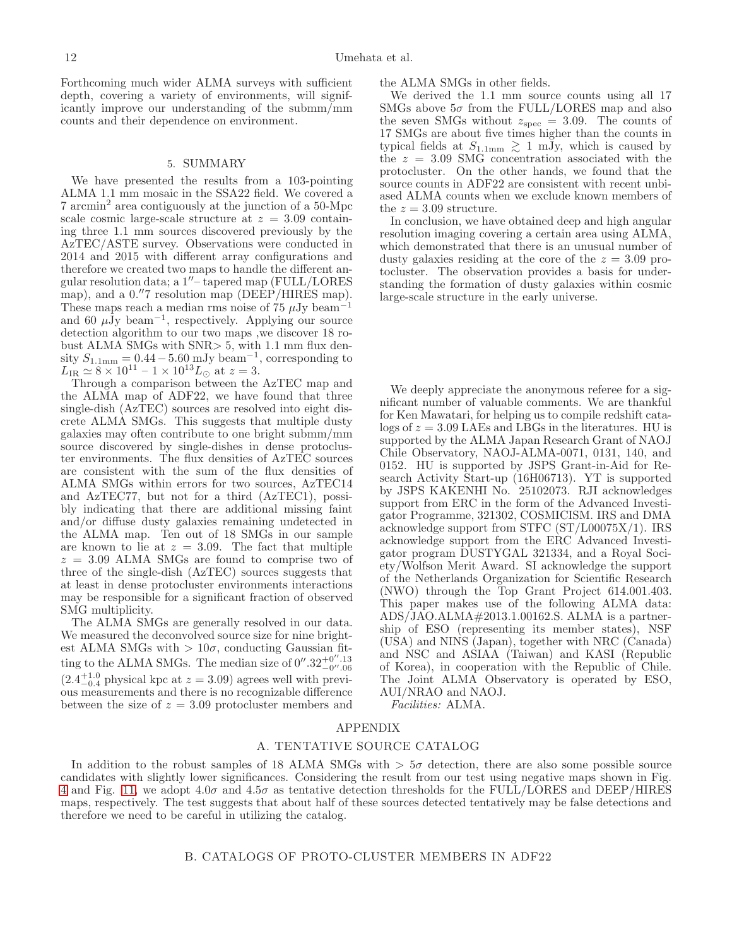Forthcoming much wider ALMA surveys with sufficient depth, covering a variety of environments, will significantly improve our understanding of the submm/mm counts and their dependence on environment.

#### 5. SUMMARY

We have presented the results from a 103-pointing ALMA 1.1 mm mosaic in the SSA22 field. We covered a 7 arcmin<sup>2</sup> area contiguously at the junction of a 50-Mpc scale cosmic large-scale structure at  $z = 3.09$  containing three 1.1 mm sources discovered previously by the AzTEC/ASTE survey. Observations were conducted in 2014 and 2015 with different array configurations and therefore we created two maps to handle the different angular resolution data; a 1′′– tapered map (FULL/LORES map), and a 0."7 resolution map (DEEP/HIRES map). These maps reach a median rms noise of 75  $\mu$ Jy beam<sup>-1</sup> and 60  $\mu\text{Jy beam}^{-1}$ , respectively. Applying our source detection algorithm to our two maps ,we discover 18 robust ALMA SMGs with SNR> 5, with 1.1 mm flux density  $S_{1.1\text{mm}} = 0.44 - 5.60 \text{ mJy beam}^{-1}$ , corresponding to  $L_{\text{IR}} \simeq 8 \times 10^{11} - 1 \times 10^{13} L_{\odot}$  at  $z = 3$ .

Through a comparison between the AzTEC map and the ALMA map of ADF22, we have found that three single-dish (AzTEC) sources are resolved into eight discrete ALMA SMGs. This suggests that multiple dusty galaxies may often contribute to one bright submm/mm source discovered by single-dishes in dense protocluster environments. The flux densities of AzTEC sources are consistent with the sum of the flux densities of ALMA SMGs within errors for two sources, AzTEC14 and AzTEC77, but not for a third (AzTEC1), possibly indicating that there are additional missing faint and/or diffuse dusty galaxies remaining undetected in the ALMA map. Ten out of 18 SMGs in our sample are known to lie at  $z = 3.09$ . The fact that multiple  $z = 3.09$  ALMA SMGs are found to comprise two of three of the single-dish (AzTEC) sources suggests that at least in dense protocluster environments interactions may be responsible for a significant fraction of observed SMG multiplicity.

The ALMA SMGs are generally resolved in our data. We measured the deconvolved source size for nine brightest ALMA SMGs with  $> 10\sigma$ , conducting Gaussian fitting to the ALMA SMGs. The median size of  $0''.32^{+0''.13}_{-0''.06}$  $(2.4^{+1.0}_{-0.4}$  physical kpc at  $z = 3.09$ ) agrees well with previous measurements and there is no recognizable difference between the size of  $z = 3.09$  protocluster members and the ALMA SMGs in other fields.

We derived the 1.1 mm source counts using all 17 SMGs above  $5\sigma$  from the FULL/LORES map and also the seven SMGs without  $z_{\rm spec} = 3.09$ . The counts of 17 SMGs are about five times higher than the counts in typical fields at  $S_{1.1mm} \geq 1$  mJy, which is caused by the  $z = 3.09$  SMG concentration associated with the protocluster. On the other hands, we found that the source counts in ADF22 are consistent with recent unbiased ALMA counts when we exclude known members of the  $z = 3.09$  structure.

In conclusion, we have obtained deep and high angular resolution imaging covering a certain area using ALMA, which demonstrated that there is an unusual number of dusty galaxies residing at the core of the  $z = 3.09$  protocluster. The observation provides a basis for understanding the formation of dusty galaxies within cosmic large-scale structure in the early universe.

We deeply appreciate the anonymous referee for a significant number of valuable comments. We are thankful for Ken Mawatari, for helping us to compile redshift catalogs of  $z = 3.09$  LAEs and LBGs in the literatures. HU is supported by the ALMA Japan Research Grant of NAOJ Chile Observatory, NAOJ-ALMA-0071, 0131, 140, and 0152. HU is supported by JSPS Grant-in-Aid for Research Activity Start-up (16H06713). YT is supported by JSPS KAKENHI No. 25102073. RJI acknowledges support from ERC in the form of the Advanced Investigator Programme, 321302, COSMICISM. IRS and DMA acknowledge support from STFC (ST/L00075X/1). IRS acknowledge support from the ERC Advanced Investigator program DUSTYGAL 321334, and a Royal Society/Wolfson Merit Award. SI acknowledge the support of the Netherlands Organization for Scientific Research (NWO) through the Top Grant Project 614.001.403. This paper makes use of the following ALMA data: ADS/JAO.ALMA#2013.1.00162.S. ALMA is a partnership of ESO (representing its member states), NSF (USA) and NINS (Japan), together with NRC (Canada) and NSC and ASIAA (Taiwan) and KASI (Republic of Korea), in cooperation with the Republic of Chile. The Joint ALMA Observatory is operated by ESO, AUI/NRAO and NAOJ.

Facilities: ALMA.

### APPENDIX

#### A. TENTATIVE SOURCE CATALOG

In addition to the robust samples of 18 ALMA SMGs with  $> 5\sigma$  detection, there are also some possible source candidates with slightly lower significances. Considering the result from our test using negative maps shown in Fig. [4](#page-4-1) and Fig. [11,](#page-12-8) we adopt  $4.0\sigma$  and  $4.5\sigma$  as tentative detection thresholds for the FULL/LORES and DEEP/HIRES maps, respectively. The test suggests that about half of these sources detected tentatively may be false detections and therefore we need to be careful in utilizing the catalog.

# B. CATALOGS OF PROTO-CLUSTER MEMBERS IN ADF22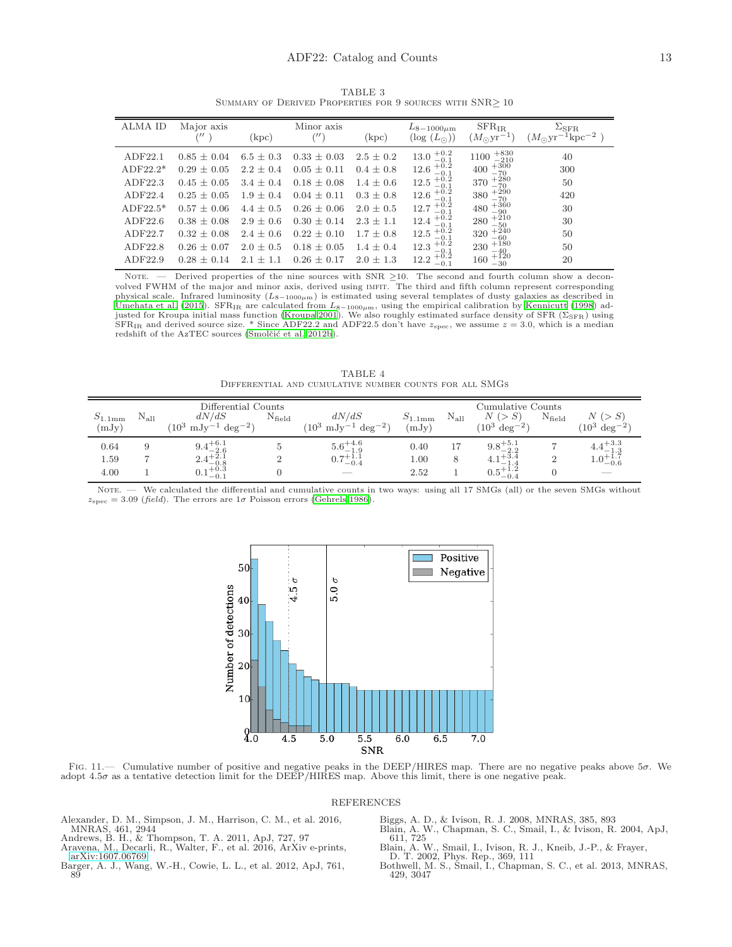| <b>ALMA ID</b> | Major axis      | (kpc)         | Minor axis      | (kpc)         | $L_{8-1000\mu m}$<br>$(\log(L_{\odot}))$ | $SFR_{IR}$<br>$(M_{\odot}yr^{-1})$        | $\Sigma_{\rm SFR}$<br>$(M_{\odot}yr^{-1}kpc^{-2})$ |
|----------------|-----------------|---------------|-----------------|---------------|------------------------------------------|-------------------------------------------|----------------------------------------------------|
|                |                 |               |                 |               |                                          |                                           |                                                    |
| ADF22.1        | $0.85 \pm 0.04$ | $6.5 + 0.3$   | $0.33 \pm 0.03$ | $2.5 + 0.2$   | $13.0_{ -0.1}^{ +0.2}$                   | $+830$<br>1100<br>$-210$                  | 40                                                 |
| $ADF22.2*$     | $0.29 \pm 0.05$ | $2.2 \pm 0.4$ | $0.05 \pm 0.11$ | $0.4 + 0.8$   | $12.6_{\,-0.1}^{\,+0.2}$                 | 400                                       | 300                                                |
| ADF22.3        | $0.45 + 0.05$   | $3.4 \pm 0.4$ | $0.18 \pm 0.08$ | $1.4 + 0.6$   | $^{+0.2}_{-0.1}$<br>12.5                 | $+300$<br>$-70$<br>$+280$<br>$-70$<br>370 | 50                                                 |
| ADF22.4        | $0.25 + 0.05$   | $1.9 + 0.4$   | $0.04 \pm 0.11$ | $0.3 + 0.8$   | $12.6_{\,-0.1}^{\,+0.2}$                 | $-70$<br>-70<br>380                       | 420                                                |
| ADF22.5 $*$    | $0.57 + 0.06$   | $4.4 + 0.5$   | $0.26 + 0.06$   | $2.0 + 0.5$   | $^{+0.2}_{-0.1}$<br>12.7                 | $^{+360}_{-90}$<br>480                    | 30                                                 |
| ADF22.6        | $0.38 + 0.08$   | $2.9 \pm 0.6$ | $0.30 \pm 0.14$ | $2.3 \pm 1.1$ | $^{+0.2}_{-0.1}$<br>12.4                 | $^{+210}_{-50}$<br>280                    | 30                                                 |
| ADF22.7        | $0.32 \pm 0.08$ | $2.4 + 0.6$   | $0.22 \pm 0.10$ | $1.7 + 0.8$   | $^{+0.2}_{-0.1}$<br>12.5                 | $^{+240}_{-60}$<br>320                    | 50                                                 |
| ADF22.8        | $0.26 \pm 0.07$ | $2.0 \pm 0.5$ | $0.18 \pm 0.05$ | $1.4 + 0.4$   | 12.3<br>$-0.1$                           | $+180$<br>230<br>$-40$                    | 50                                                 |
| ADF22.9        | $0.28 \pm 0.14$ | $2.1 + 1.1$   | $0.26 \pm 0.17$ | $2.0 \pm 1.3$ | $12.2 + 0.2$<br>$-0.1$                   | $+120$<br>160<br>$-30$                    | 20                                                 |

TABLE 3 SUMMARY OF DERIVED PROPERTIES FOR 9 SOURCES WITH SNR $\geq 10$ 

NOTE. — Derived properties of the nine sources with SNR ≥10. The second and fourth column show a deconvolved FWHM of the major and minor axis, derived using imfit. The third and fifth column represent corresponding physical scale. Infrared luminosity  $(L_{8-1000\mu m})$  is estimated using several templates of dusty galaxies as described in [Umehata et al. \(2015](#page-15-4)). SFR<sub>IR</sub> are calculated from  $L_{8-1000\mu m}$ , using the empirical calibration by [Kennicutt \(1998](#page-13-51)) ad-<br>justed for Kroupa initial mass function [\(Kroupa 2001](#page-13-52)). We also roughly estimated surface density o  $SFR_{IR}$  and derived source size. \* Since ADF22.2 and ADF22.5 don't have  $z_{spec}$ , we assume  $z = 3.0$ , which is a median redshift of the AzTEC sources (Smolčić et al. 2012b).

TABLE 4 Differential and cumulative number counts for all SMGs

|                           |               | Differential Counts                               |                 |                                                     |                             |               | Cumulative Counts                |                    |                          |
|---------------------------|---------------|---------------------------------------------------|-----------------|-----------------------------------------------------|-----------------------------|---------------|----------------------------------|--------------------|--------------------------|
| $S_{1.1\rm{mm}}$<br>(mJy) | $\rm N_{all}$ | dN/dS<br>$mJy^{-1}$ deg <sup>-2</sup> )<br>$10^3$ | $N_{\rm field}$ | dN/dS<br>$(10^3 \text{ mJy}^{-1} \text{ deg}^{-2})$ | $S_{1.1\text{mm}}$<br>(mJy) | $\rm N_{all}$ | $N$ (<br>$deg^{-2}$<br>$(10^{3}$ | $N_{\text{field}}$ | $10^3$<br>$\deg^{-2}$    |
|                           |               |                                                   |                 |                                                     |                             |               |                                  |                    |                          |
| 0.64                      |               | $9.4^{+6.1}_{-2.6}$                               |                 | $5.6^{+4.6}_{-1.9}$                                 | 0.40                        | 17            | $9.8^{+5.1}_{-2.2}$              |                    | $4.4^{+3.3}_{-1.3}$      |
| 1.59                      |               | $2.4^{+2.1}_{-0.8}$                               |                 | $0.7^{+1.1}_{-0.4}$                                 | 1.00                        | 8             | $4.1^{+3.4}_{-1.4}$              |                    | $1.0^{+1.7}_{-0.6}$      |
| 4.00                      |               | $\rm 0.1^{+0.3}_{-0.1}$                           |                 | $\overline{\phantom{a}}$                            | 2.52                        |               | $0.5^{+1.2}_{-0.4}$              |                    | $\overline{\phantom{a}}$ |

NOTE. — We calculated the differential and cumulative counts in two ways: using all 17 SMGs (all) or the seven SMGs without  $z_{\rm spec} = 3.09$  (field). The errors are  $1\sigma$  Poisson errors [\(Gehrels 1986](#page-13-62)).



<span id="page-12-8"></span>FIG. 11.— Cumulative number of positive and negative peaks in the DEEP/HIRES map. There are no negative peaks above  $5\sigma$ . We adopt 4.5σ as a tentative detection limit for the DEEP/HIRES map. Above this limit, there is one negative peak.

#### REFERENCES

- <span id="page-12-3"></span>Alexander, D. M., Simpson, J. M., Harrison, C. M., et al. 2016, MNRAS, 461, 2944 Andrews, B. H., & Thompson, T. A. 2011, ApJ, 727, 97 Aravena, M., Decarli, R., Walter, F., et al. 2016, ArXiv e-prints,
- <span id="page-12-7"></span>
- <span id="page-12-2"></span>
- <span id="page-12-5"></span>[arXiv:1607.06769](http://arxiv.org/abs/1607.06769) Barger, A. J., Wang, W.-H., Cowie, L. L., et al. 2012, ApJ, 761, 89
- 
- <span id="page-12-6"></span><span id="page-12-1"></span>Biggs, A. D., & Ivison, R. J. 2008, MNRAS, 385, 893 Blain, A. W., Chapman, S. C., Smail, I., & Ivison, R. 2004, ApJ, 611, 725
- 
- <span id="page-12-4"></span>
- <span id="page-12-0"></span>Blain, A. W., Smail, I., Ivison, R. J., Kneib, J.-P., & Frayer, D. T. 2002, Phys. Rep., 369, 111 Bothwell, M. S., Smail, I., Chapman, S. C., et al. 2013, MNRAS, 429, 3047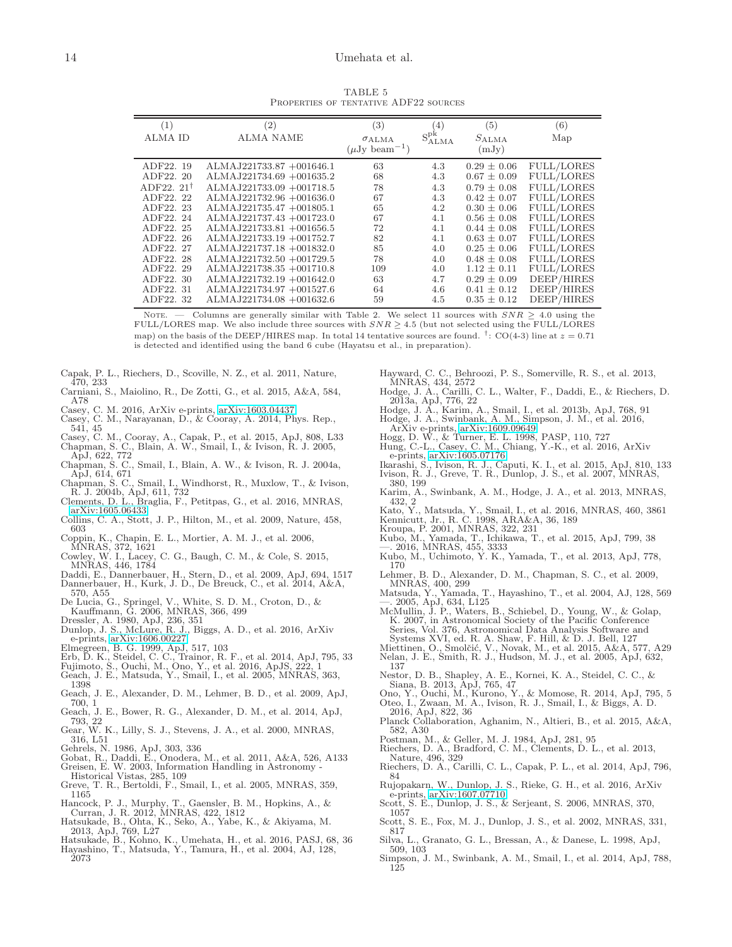TABLE 5 Properties of tentative ADF22 sources

| (1)                  | (2)                         | (3)                           | $\left( 4\right)$       | (5)             | (6)               |
|----------------------|-----------------------------|-------------------------------|-------------------------|-----------------|-------------------|
| <b>ALMA ID</b>       | <b>ALMA NAME</b>            | $\sigma$ ALMA                 | $S_{\rm ALMA}^{\rm pk}$ | $S_{\rm ALMA}$  | Map               |
|                      |                             | $(\mu Jv \, {\rm beam}^{-1})$ |                         | (mJy)           |                   |
|                      |                             |                               |                         |                 |                   |
| ADF22. 19            | ALMAJ221733.87 +001646.1    | 63                            | 4.3                     | $0.29 \pm 0.06$ | <b>FULL/LORES</b> |
| ADF22, 20            | $ALMAJ221734.69 + 001635.2$ | 68                            | 4.3                     | $0.67 \pm 0.09$ | <b>FULL/LORES</b> |
| $ADF22.21^{\dagger}$ | $ALMAJ221733.09 + 001718.5$ | 78                            | 4.3                     | $0.79 \pm 0.08$ | <b>FULL/LORES</b> |
| ADF22. 22            | $ALMAJ221732.96 + 001636.0$ | 67                            | 4.3                     | $0.42 \pm 0.07$ | <b>FULL/LORES</b> |
| ADF22, 23            | $ALMAJ221735.47 +001805.1$  | 65                            | 4.2                     | $0.30 \pm 0.06$ | <b>FULL/LORES</b> |
| ADF22, 24            | $ALMAJ221737.43 + 001723.0$ | 67                            | 4.1                     | $0.56 \pm 0.08$ | <b>FULL/LORES</b> |
| ADF22. 25            | $ALMAJ221733.81 + 001656.5$ | 72                            | 4.1                     | $0.44 \pm 0.08$ | <b>FULL/LORES</b> |
| ADF22, 26            | $ALMAJ221733.19 + 001752.7$ | 82                            | 4.1                     | $0.63 \pm 0.07$ | <b>FULL/LORES</b> |
| ADF22, 27            | $ALMAJ221737.18 + 001832.0$ | 85                            | 4.0                     | $0.25 \pm 0.06$ | <b>FULL/LORES</b> |
| ADF22, 28            | $ALMAJ221732.50 + 001729.5$ | 78                            | 4.0                     | $0.48 \pm 0.08$ | <b>FULL/LORES</b> |
| ADF22. 29            | $ALMAJ221738.35 + 001710.8$ | 109                           | 4.0                     | $1.12 \pm 0.11$ | <b>FULL/LORES</b> |
| ADF22, 30            | $ALMAJ221732.19 + 001642.0$ | 63                            | 4.7                     | $0.29 \pm 0.09$ | DEEP/HIRES        |
| ADF22. 31            | ALMAJ221734.97 +001527.6    | 64                            | 4.6                     | $0.41 \pm 0.12$ | DEEP/HIRES        |
| ADF22, 32            | $ALMAJ221734.08 + 001632.6$ | 59                            | 4.5                     | $0.35 \pm 0.12$ | DEEP/HIRES        |

NOTE. — Columns are generally similar with Table 2. We select 11 sources with  $SNR \geq 4.0$  using the FULL/LORES map. We also include three sources with  $SNR \geq 4.5$  (but not selected using the FULL/LORES map) on the basis of the DEEP/HIRES map. In total 14 tentative sources are found.  $\dot{\bar{}}$ : CO(4-3) line at  $z = 0.71$ is detected and identified using the band 6 cube (Hayatsu et al., in preparation).

- <span id="page-13-7"></span>Capak, P. L., Riechers, D., Scoville, N. Z., et al. 2011, Nature, 470, 233
- <span id="page-13-60"></span>Carniani, S., Maiolino, R., De Zotti, G., et al. 2015, A&A, 584, A78
- 
- <span id="page-13-45"></span>Casey, C. M. 2016, ArXiv e-prints, [arXiv:1603.04437](http://arxiv.org/abs/1603.04437) Casey, C. M., Narayanan, D., & Cooray, A. 2014, Phys. Rep.,
- <span id="page-13-6"></span>541, 45
- <span id="page-13-24"></span><span id="page-13-9"></span>Casey, C. M., Cooray, A., Capak, P., et al. 2015, ApJ, 808, L33 Chapman, S. C., Blain, A. W., Smail, I., & Ivison, R. J. 2005, ApJ, 622, 772 Chapman, S. C., Smail, I., Blain, A. W., & Ivison, R. J. 2004a,
- <span id="page-13-33"></span>
- <span id="page-13-48"></span>ApJ, 614, 671 Chapman, S. C., Smail, I., Windhorst, R., Muxlow, T., & Ivison, R. J. 2004b, ApJ, 611, 732
- <span id="page-13-11"></span>Clements, D. L., Braglia, F., Petitpas, G., et al. 2016, MNRAS, [arXiv:1605.06433](http://arxiv.org/abs/1605.06433)
- <span id="page-13-2"></span>Collins, C. A., Stott, J. P., Hilton, M., et al. 2009, Nature, 458, 603
- 
- <span id="page-13-32"></span>Coppin, K., Chapin, E. L., Mortier, A. M. J., et al. 2006, MNRAS, 372, 1621 Cowley, W. I., Lacey, C. G., Baugh, C. M., & Cole, S. 2015, MNRAS, 446, 1784
- <span id="page-13-43"></span>
- <span id="page-13-8"></span>Daddi, E., Dannerbauer, H., Stern, D., et al. 2009, ApJ, 694, 1517
- <span id="page-13-10"></span>Dannerbauer, H., Kurk, J. D., De Breuck, C., et al. 2014, A&A, 570, A55
- <span id="page-13-5"></span>
- <span id="page-13-0"></span>
- <span id="page-13-15"></span>Dunlop, J. S., McLure, R. J., Biggs, A. D., et al. 2016, ArXiv
- 
- <span id="page-13-53"></span><span id="page-13-35"></span>
- e-prints, [arXiv:1606.00227](http://arxiv.org/abs/1606.00227) Elmegreen, B. G. 1999, ApJ, 517, 103 Erb, D. K., Steidel, C. C., Trainor, R. F., et al. 2014, ApJ, 795, 33 Fujimoto, S., Ouchi, M., Ono, Y., et al. 2016, ApJS, 222, 1
- <span id="page-13-61"></span>Geach, J. E., Matsuda, Y., Smail, I., et al. 2005, MNRAS, 363,
- <span id="page-13-20"></span>1398 Geach, J. E., Alexander, D. M., Lehmer, B. D., et al. 2009, ApJ,
- <span id="page-13-64"></span>700, 1 Geach, J. E., Bower, R. G., Alexander, D. M., et al. 2014, ApJ,
- <span id="page-13-21"></span>
- <span id="page-13-38"></span>793, 22 Gear, W. K., Lilly, S. J., Stevens, J. A., et al. 2000, MNRAS, 316, L51
- <span id="page-13-62"></span><span id="page-13-3"></span>
- Gehrels, N. 1986, ApJ, 303, 336<br>Gobat, R., Daddi, E., Onodera, M., et al. 2011, A&A, 526, A133<br>Greisen, E. W. 2003, Information Handling in Astronomy -<br>Historical Vistas, 285, 109<br>Greve, T. R., Bertoldi, F., Smail, I., et
- <span id="page-13-28"></span><span id="page-13-23"></span>1165
- 
- <span id="page-13-29"></span>Hancock, P. J., Murphy, T., Gaensler, B. M., Hopkins, A., & Curran, J. R. 2012, MNRAS, 422, 1812 Hatsukade, B., Ohta, K., Seko, A., Yabe, K., & Akiyama, M. 2013, ApJ, 769, L27
- <span id="page-13-58"></span>
- <span id="page-13-16"></span><span id="page-13-14"></span>Hatsukade, B., Kohno, K., Umehata, H., et al. 2016, PASJ, 68, 36 Hayashino, T., Matsuda, Y., Tamura, H., et al. 2004, AJ, 128, 2073
- <span id="page-13-42"></span>Hayward, C. C., Behroozi, P. S., Somerville, R. S., et al. 2013, MNRAS, 434, 2572
- <span id="page-13-39"></span>Hodge, J. A., Carilli, C. L., Walter, F., Daddi, E., & Riechers, D. 2013a, ApJ, 776, 22
- <span id="page-13-27"></span>Hodge, J. A., Karim, A., Smail, I., et al. 2013b, ApJ, 768, 91 Hodge, J. A., Swinbank, A. M., Simpson, J. M., et al. 2016,
- <span id="page-13-30"></span>
- <span id="page-13-55"></span>ArXiv e-prints, [arXiv:1609.09649](http://arxiv.org/abs/1609.09649) Hogg, D. W., & Turner, E. L. 1998, PASP, 110, 727 Hung, C.-L., Casey, C. M., Chiang, Y.-K., et al. 2016, ArXiv
- <span id="page-13-44"></span>
- <span id="page-13-46"></span>e-prints, [arXiv:1605.07176](http://arxiv.org/abs/1605.07176) Ikarashi, S., Ivison, R. J., Caputi, K. I., et al. 2015, ApJ, 810, 133 Ivison, R. J., Greve, T. R., Dunlop, J. S., et al. 2007, MNRAS, 380, 199
- <span id="page-13-56"></span><span id="page-13-41"></span>Karim, A., Swinbank, A. M., Hodge, J. A., et al. 2013, MNRAS, 432, 2
- <span id="page-13-12"></span>Kato, Y., Matsuda, Y., Smail, I., et al. 2016, MNRAS, 460, 3861 Kennicutt, Jr., R. C. 1998, ARA&A, 36, 189 Kroupa, P. 2001, MNRAS, 322, 231
- <span id="page-13-52"></span><span id="page-13-51"></span>
- 
- <span id="page-13-36"></span><span id="page-13-19"></span>Kubo, M., Yamada, T., Ichikawa, T., et al. 2015, ApJ, 799, 38 —. 2016, MNRAS, 455, 3333 Kubo, M., Uchimoto, Y. K., Yamada, T., et al. 2013, ApJ, 778, 170
- <span id="page-13-63"></span><span id="page-13-18"></span>Lehmer, B. D., Alexander, D. M., Chapman, S. C., et al. 2009,
- <span id="page-13-25"></span>MNRAS, 400, 299<br>Matsuda, Y., Yamada, T., Hayashino, T., et al. 2004, AJ, 128, 569<br>—. 2005, ApJ, 634, L125<br>McMullin, J. P., Waters, B., Schiebel, D., Young, W., & Golap,<br>K. 2007, in Astronomical Society of the Pacific Confe
- <span id="page-13-26"></span><span id="page-13-17"></span>Series, Vol. 376, Astronomical Data Analysis Software and<br>Systems XVI, ed. R. A. Shaw, F. Hill, & D. J. Bell, 127<br>Miettinen, O., Smolčić, V., Novak, M., et al. 2015, A&A, 577, A29<br>Nelan, J. E., Smith, R. J., Hudson, M. J.,
- 
- <span id="page-13-40"></span><span id="page-13-4"></span>137
- <span id="page-13-34"></span>Nestor, D. B., Shapley, A. E., Kornei, K. A., Steidel, C. C., &<br>Siana, B. 2013, ApJ, 765, 47<br>Ono, Y., Ouchi, M., Kurono, Y., & Momose, R. 2014, ApJ, 795, 5<br>Oteo, I., Zwaan, M. A., Ivison, R. J., Smail, I., & Biggs, A. D.
- <span id="page-13-59"></span>
- <span id="page-13-57"></span>2016, ApJ, 822, 36
- <span id="page-13-13"></span>Planck Collaboration, Aghanim, N., Altieri, B., et al. 2015, A&A, 582, A30
- 
- <span id="page-13-54"></span><span id="page-13-1"></span>Postman, M., & Geller, M. J. 1984, ApJ, 281, 95 Riechers, D. A., Bradford, C. M., Clements, D. L., et al. 2013, Nature, 496, 329 Riechers, D. A., Carilli, C. L., Capak, P. L., et al. 2014, ApJ, 796,
- 
- <span id="page-13-49"></span><span id="page-13-47"></span>84 Rujopakarn, W., Dunlop, J. S., Rieke, G. H., et al. 2016, ArXiv e-prints, [arXiv:1607.07710](http://arxiv.org/abs/1607.07710)
- <span id="page-13-22"></span>Scott, S. E., Dunlop, J. S., & Serjeant, S. 2006, MNRAS, 370, 1057
- <span id="page-13-31"></span>Scott, S. E., Fox, M. J., Dunlop, J. S., et al. 2002, MNRAS, 331, 817
- <span id="page-13-50"></span>Silva, L., Granato, G. L., Bressan, A., & Danese, L. 1998, ApJ, 509, 103
- <span id="page-13-37"></span>Simpson, J. M., Swinbank, A. M., Smail, I., et al. 2014, ApJ, 788, 125

De Lucia, G., Springel, V., White, S. D. M., Croton, D., & Kauffmann, G. 2006, MNRAS, 366, 499 Dressler, A. 1980, ApJ, 236, 351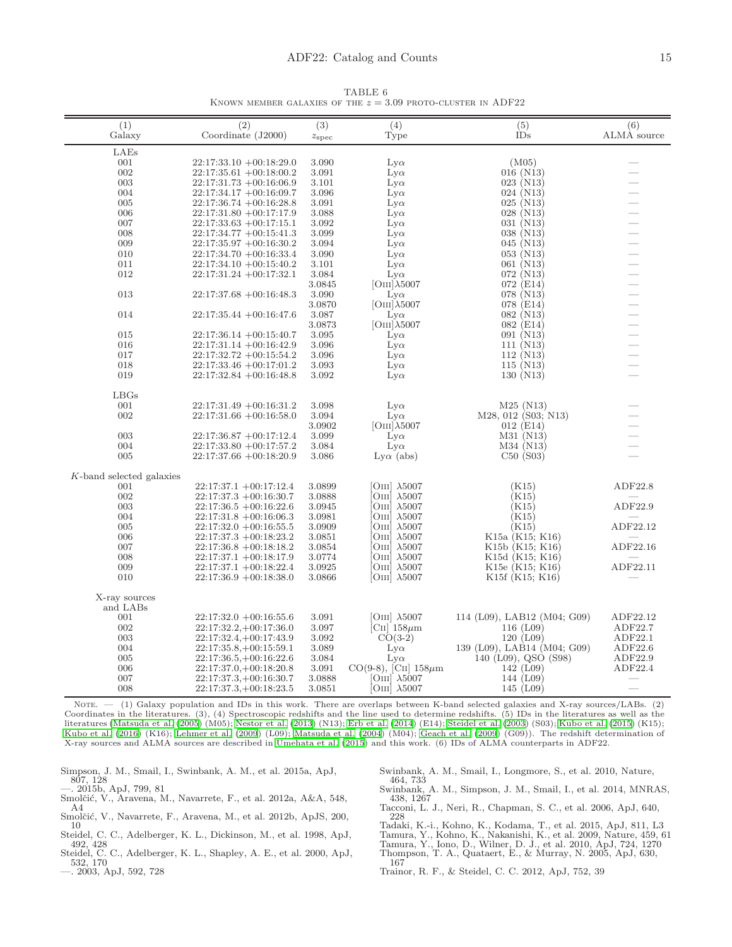TABLE 6 KNOWN MEMBER GALAXIES OF THE  $z = 3.09$  proto-cluster in ADF22

| (1)                      | (2)                                                  | (3)              | (4)                           | (5)                         | (6)                      |
|--------------------------|------------------------------------------------------|------------------|-------------------------------|-----------------------------|--------------------------|
| Galaxy                   | Coordinate (J2000)                                   | $z_{\rm spec}$   | Type                          | IDs                         | ALMA source              |
| LAEs                     |                                                      |                  |                               |                             |                          |
| 001                      | $22:17:33.10 + 00:18:29.0$                           | 3.090            | $_{\rm Ly\alpha}$             | (M05)                       |                          |
| 002                      | $22:17:35.61 + 00:18:00.2$                           | 3.091            | $_{\rm Ly\alpha}$             | $016$ (N13)                 |                          |
| 003                      | $22:17:31.73 + 00:16:06.9$                           | 3.101            | $_{\text{Ly}\alpha}$          | $023$ (N13)                 |                          |
| 004                      | $22:17:34.17 + 00:16:09.7$                           | 3.096            | $_{\text{Ly}\alpha}$          | 024 (N13)                   | $\overline{\phantom{0}}$ |
| 005                      | $22:17:36.74 + 00:16:28.8$                           | 3.091            | $Lv\alpha$                    | $025$ (N13)                 | $\overline{\phantom{0}}$ |
| 006                      | $22:17:31.80 + 00:17:17.9$                           | 3.088            | $Lv\alpha$                    | $028$ (N13)                 |                          |
| 007                      | $22:17:33.63 + 00:17:15.1$                           | 3.092            | $_{\text{Ly}\alpha}$          | 031 (N13)                   |                          |
| 008                      | $22:17:34.77 + 00:15:41.3$                           | 3.099            | $_{\text{Ly}\alpha}$          | 038(N13)                    |                          |
| 009                      | $22:17:35.97 + 00:16:30.2$                           | 3.094            | $_{\rm Ly\alpha}$             | 045 (N13)                   | $\overline{\phantom{0}}$ |
| 010                      | $22:17:34.70 + 00:16:33.4$                           | 3.090            | $_{\text{Ly}\alpha}$          | 053 (N13)                   |                          |
| 011                      | $22:17:34.10 + 00:15:40.2$                           | 3.101            | $_{\text{Ly}\alpha}$          | 061 (N13)                   | $\overline{\phantom{0}}$ |
| 012                      | $22:17:31.24 +00:17:32.1$                            | 3.084            | $_{\text{Ly}\alpha}$          | 072 (N13)                   | $\overline{\phantom{0}}$ |
|                          |                                                      | 3.0845           | $[OIII]\lambda 5007$          | 072 (E14)                   |                          |
| 013                      | 22:17:37.68 +00:16:48.3                              | 3.090            | $Lv\alpha$                    | 078 (N13)                   | $\overline{\phantom{0}}$ |
|                          |                                                      | 3.0870           | $[OIII]\lambda 5007$          | 078 (E14)                   | $\overline{\phantom{0}}$ |
| 014                      | $22:17:35.44 + 00:16:47.6$                           | 3.087            | $Lv\alpha$                    | 082 (N13)                   |                          |
|                          |                                                      | 3.0873           | $[OIII]\lambda 5007$          | 082 (E14)                   |                          |
| 015                      | $22:17:36.14 + 00:15:40.7$                           | 3.095            | $Lv\alpha$                    | 091 (N13)                   |                          |
| 016                      | $22:17:31.14 + 00:16:42.9$                           | 3.096            | $_{\text{Ly}\alpha}$          | 111(N13)                    | $\overline{\phantom{0}}$ |
| 017                      | $22:17:32.72 + 00:15:54.2$                           | 3.096            | $_{\text{Ly}\alpha}$          | 112 (N13)                   |                          |
| 018                      | $22:17:33.46 + 00:17:01.2$                           | 3.093            | $_{\text{Ly}\alpha}$          | $115 \ (N13)$               |                          |
| 019                      | $22:17:32.84 + 00:16:48.8$                           | 3.092            | $_{\text{Ly}\alpha}$          | 130 (N13)                   |                          |
|                          |                                                      |                  |                               |                             |                          |
| LBGs                     |                                                      |                  |                               |                             |                          |
| 001                      | $22:17:31.49 + 00:16:31.2$                           | 3.098            | $Lv\alpha$                    | $M25$ (N13)                 |                          |
| 002                      | $22:17:31.66 + 00:16:58.0$                           | 3.094            | $Lv\alpha$                    | M28, 012 (S03; N13)         |                          |
|                          |                                                      | 3.0902           | $[OIII]\lambda 5007$          | $012$ (E14)                 |                          |
| 003                      | $22:17:36.87 + 00:17:12.4$                           | 3.099            | $Lv\alpha$                    | M31 (N13)                   |                          |
| 004                      | $22:17:33.80 + 00:17:57.2$                           | 3.084            | $Lv\alpha$                    | M34 (N13)                   |                          |
| 005                      | $22:17:37.66 + 00:18:20.9$                           | 3.086            | $Lv\alpha$ (abs)              | C50(S03)                    |                          |
| K-band selected galaxies |                                                      |                  |                               |                             |                          |
| 001                      | $22:17:37.1 + 00:17:12.4$                            | 3.0899           | OIII $\lambda$ 5007           | (K15)                       | ADF22.8                  |
| 002                      | $22:17:37.3 + 00:16:30.7$                            | 3.0888           | Ош] $\lambda 5007$            | (K15)                       |                          |
| 003                      | $22:17:36.5 + 00:16:22.6$                            | 3.0945           | $OIII$ $\lambda$ 5007         | (K15)                       | ADF22.9                  |
| 004                      | $22:17:31.8 + 00:16:06.3$                            | 3.0981           | OIII $\lambda$ 5007           | (K15)                       |                          |
| 005                      | $22:17:32.0 +00:16:55.5$                             | 3.0909           | $OIII$ $\lambda$ 5007         | (K15)                       | ADF22.12                 |
| 006                      | $22:17:37.3 + 00:18:23.2$                            | 3.0851           | OIII $\lambda$ 5007           | K15a (K15; K16)             |                          |
| 007                      | $22:17:36.8 + 00:18:18.2$                            | 3.0854           | $OIII$ $\lambda$ 5007         | K15b (K15; K16)             | ADF22.16                 |
| 008                      | $22:17:37.1 + 00:18:17.9$                            | 3.0774           | OIII $\lambda$ 5007           | K15d (K15; K16)             |                          |
| 009                      | $22:17:37.1 + 00:18:22.4$                            | 3.0925           | OIII]<br>$\lambda$ 5007       | K15e (K15; K16)             | ADF22.11                 |
| 010                      | $22:17:36.9 + 00:18:38.0$                            | 3.0866           | $OIII$ $\lambda$ 5007         | K15f (K15; K16)             |                          |
|                          |                                                      |                  |                               |                             |                          |
| X-ray sources            |                                                      |                  |                               |                             |                          |
| and LABs<br>001          |                                                      | 3.091            | $[OIII]$ $\lambda$ 5007       | 114 (L09), LAB12 (M04; G09) | ADF22.12                 |
| 002                      | $22:17:32.0 +00:16:55.6$<br>$22:17:32.2,+00:17:36.0$ |                  | $\text{CII}$ 158 $\mu$ m      | 116 $(L09)$                 | ADF22.7                  |
| 003                      | $22:17:32.4,+00:17:43.9$                             | 3.097<br>3.092   | $CO(3-2)$                     | 120(L09)                    | ADF22.1                  |
| 004                      | $22:17:35.8,+00:15:59.1$                             | 3.089            | $_{\text{Ly}\alpha}$          | 139 (L09), LAB14 (M04; G09) | ADF22.6                  |
| 005                      |                                                      | 3.084            | $Lv\alpha$                    | 140 (L09), QSO (S98)        | ADF22.9                  |
| 006                      | $22:17:36.5,+00:16:22.6$<br>$22:17:37.0,+00:18:20.8$ | 3.091            | $CO(9-8)$ , [CII] $158 \mu m$ | 142 $(L09)$                 | ADF22.4                  |
| 007                      |                                                      |                  | $OIII$ $\lambda$ 5007         | 144 (L09)                   |                          |
| 008                      | $22:17:37.3,+00:16:30.7$<br>$22:17:37.3,+00:18:23.5$ | 3.0888<br>3.0851 | $OIII$ $\lambda$ 5007         | 145(L09)                    |                          |
| $\sim$                   | 1.77                                                 | crops.           |                               | $x = \pi r$                 | $T$ $\rightarrow$ $T$    |

NOTE.  $-$  (1) Galaxy population and IDs in this work. There are overlaps between K-band selected galaxies and X-ray sources/LABs. (2) Coordinates in the literatures. (3), (4) Spectroscopic redshifts and the line used to determine redshifts. (5) IDs in the literatures as well as the<br>literatures [\(Matsuda et al. \(2005](#page-13-17)) (M05); [Nestor et al. \(2013](#page-13-34)) (N13); Erb [Kubo et al. \(2016](#page-13-36)) (K16); [Lehmer et al. \(2009\)](#page-13-63) (L09); [Matsuda](#page-13-25) et al. [\(2004\)](#page-13-25) (M04); [Geach et al. \(2009\)](#page-13-64) (G09)). The redshift determination of X-ray sources and ALMA sources are described in [Umehata et al. \(2015\)](#page-15-4) and this work. (6) IDs of ALMA counterparts in ADF22.

- <span id="page-14-9"></span>Simpson, J. M., Smail, I., Swinbank, A. M., et al. 2015a, ApJ, 807, 128
- <span id="page-14-8"></span><span id="page-14-5"></span>—. 2015b, ApJ, 799, 81<br>Smolčić, V., Aravena, M., Navarrete, F., et al. 2012a, A&A, 548, A4
- <span id="page-14-13"></span>Smolčić, V., Navarrete, F., Aravena, M., et al. 2012b, ApJS, 200, 10
- 
- <span id="page-14-2"></span>Steidel, C. C., Adelberger, K. L., Dickinson, M., et al. 1998, ApJ,<br>
492, 428<br>
steidel, C. C., Adelberger, K. L., Shapley, A. E., et al. 2000, ApJ,<br>
532, 170
- <span id="page-14-6"></span><span id="page-14-3"></span>—. 2003, ApJ, 592, 728
- <span id="page-14-12"></span>Swinbank, A. M., Smail, I., Longmore, S., et al. 2010, Nature, 464, 733
- <span id="page-14-10"></span>Swinbank, A. M., Simpson, J. M., Smail, I., et al. 2014, MNRAS, 438, 1267
- <span id="page-14-7"></span>Tacconi, L. J., Neri, R., Chapman, S. C., et al. 2006, ApJ, 640, 228
- <span id="page-14-1"></span>Tadaki, K.-i., Kohno, K., Kodama, T., et al. 2015, ApJ, 811, L3
- Tamura, Y., Kohno, K., Nakanishi, K., et al. 2009, Nature, 459, 61 Tamura, Y., Iono, D., Wilner, D. J., et al. 2010, ApJ, 724, 1270 Thompson, T. A., Quataert, E., & Murray, N. 2005, ApJ, 630,
- <span id="page-14-4"></span><span id="page-14-0"></span>
- <span id="page-14-14"></span>167
- <span id="page-14-11"></span>Trainor, R. F., & Steidel, C. C. 2012, ApJ, 752, 39